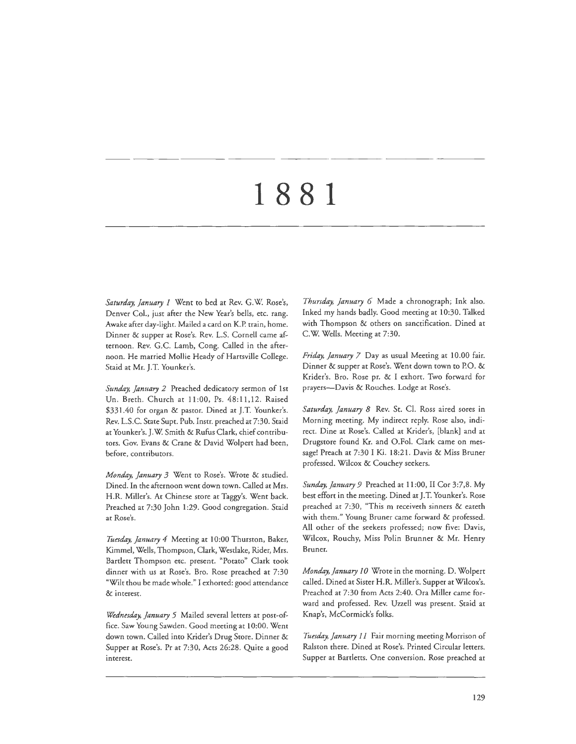Saturday, January 1 Went to bed at Rev. G.W. Rose's, Denver Col., just after the New Year's bells, etc. rang. Awake after day-light. Mailed a card on K.P. train, home. Dinner & supper at Rose's. Rev. L.S. Cornell came afternoon. Rev. G.C. Lamb, Cong. Called in che afternoon. He married Mollie Heady of Hartsville College. Staid at Mr. J.T. Younker's.

Sunday, January 2 Preached dedicatory sermon of 1st Un. Breth. Church at 11:00, Ps. 48:11,12. Raised \$331.40 for organ & pastor. Dined at J.T. Younker's. Rev. L.S.C. State Supt. Pub. Instr. preached at 7:30. Staid at Younker's. J.W. Smith & Rufus Clark, chief contributors. Gov. Evans & Crane & David Wolpert had been, before, contributors.

*Monday, January 3* Went to Rose's. Wrote & studied. Dined. In the afternoon went down town. Called at Mrs. H.R. Miller's. At Chinese store at Taggy's. Went back. Preached at 7:30 John 1:29. Good congregation. Staid at Rose's.

*Ttwday, January 4* Meeting at 10:00 Thurston, Baker, Kimmel, Wells, Thompson, Clark, Westlake, Rider, Mrs. Bartlett Thompson etc. present. "Potato" Clark took dinner with us at Rose's. Bro. Rose preached at 7:30 "Wilt thou be made whole." I exhorted: good attendance & interest.

*Wednesday, January 5* Mailed several letters at post-office. Saw Young Sawden. Good meeting at I 0:00. Went down town. Called into Krider's Drug Store. Dinner & Supper at Rose's. Pr at 7:30, Acts 26:28. Quite a good interest.

*Thursday, January 6* Made a chronograph; Ink also. Inked my hands badly. Good meeting at 10:30. Talked with Thompson & others on sanctification. Dined at C.W. Wells. Meeting at 7:30.

*Friday, January 7* Day as usual Meeting at 10.00 fair. Dinner & supper at Rose's. Wene down town to P.O. & Krider's. Bro. Rose pr. & I exhort. Two forward for prayers-Davis & Rouches. Lodge at Rose's.

*Saturday, January 8* Rev. St. Cl. Ross aired sores in Morning meeting. My indirect reply. Rose also, indirect. Dine at Rose's. Called at Krider's, [blank] and at Drugstore found Kr. and O.Fol. Clark came on message! Preach at 7:30 I Ki. 18:21. Davis & Miss Bruner professed. Wilcox & Couchey seekers.

*Sunday, January 9* Preached at 11 :00, II Cor 3:7,8. My best effort in the meeting. Dined at J. T. Younker's. Rose preached at 7:30, "This m receivech sinners & eateth with them." Young Bruner came forward & professed. All other of the seekers professed; now five: Davis, Wilcox, Rouchy, Miss Polin Brunner & Mr. Henry Bruner.

*Monday,]anuary JO* Wrote in the morning. D. Wolpert called. Dined at Sister H.R. Miller's. Supper at Wilcox's. Preached at 7:30 from Acts 2:40. Ora Miller came forward and professed. Rev. Uzzell was present. Staid at Knap's, McCormick's folks.

*Tuesday, January 1 I* Fair morning meeting Morrison of Ralston there. Dined at Rose's. Printed Circular letters. Supper at Bartletts. One conversion. Rose preached at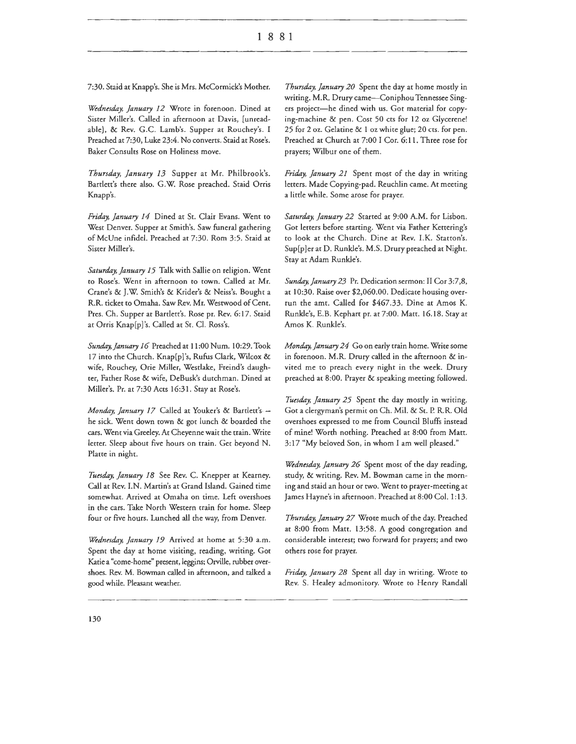7:30. Staid at Knapp's. She is Mrs. McCormick's Mother.

*Wednesday, January 12* Wrote in forenoon. Dined at Sister Miller's. Called in afternoon at Davis, [unreadable], & Rev. G.C. Lamb's. Supper at Rouchey's. I Preached at 7:30, Luke 23:4. No converts. Staid at Rose's. Baker Consults Rose on Holiness move.

*Thursday, January 13* Supper at Mr. Philbrook's. Bartlett's there also. G.W. Rose preached. Staid Orris Knapp's.

*Friday, January 14* Dined at St. Clair Evans. Went to West Denver. Supper at Smith's. Saw funeral gathering of McUne infidel. Preached at 7:30. Rom 3:5. Staid at Sister Miller's.

*Saturday, January 15* Talk with Sallie on religion. Went to Rose's. Went in afternoon to town. Called at Mr. Crane's & J.W. Smith's & Krider's & Neiss's. Bought a R.R. ticket to Omaha. Saw Rev. Mr. Westwood of Cent. Pres. Ch. Supper at Bartlett's. Rose pr. Rev. 6:17. Staid at Orris Knap[p]'s. Called at St. Cl. Ross's.

Sunday, January 16 Preached at 11:00 Num. 10:29. Took 17 into the Church. Knap[p]'s, Rufus Clark, Wilcox & wife, Rouchey, Orie Miller, Westlake, Freind's daughter, Father Rose & wife, DeBusk's dutchman. Dined at Miller's. Pr. at 7:30 Acts 16:31. Stay at Rose's.

*Monday, January 17* Called at Youker's & Bartlett's he sick. Went down town & got lunch & boarded the cars. Went via Greeley. At Cheyenne wait the train. Write letter. Sleep about five hours on train. Get beyond N. Platte in night.

*T11esday, January 18* See Rev. C. Knepper at Kearney. Call at Rev. l.N. Martin's at Grand Island. Gained time somewhat. Arrived at Omaha on time. Left overshoes in the cars. Take North Western train for home. Sleep four or five hours. Lunched all the way, from Denver.

*Wednesday, January 19* Arrived at home at 5:30 a.m. Spent the day at home visiting, reading, writing. Got Katie a "come-home" present, leggins; Orville, rubber overshoes. Rev. M. Bowman called in afternoon, and talked a good while. Pleasant weather.

*Thursday, January 20* Spent the day at home mostly in writing. M.R. Drury came-Coniphou Tennessee Singers project-he dined with us. Got material for copying-machine & pen. Cost 50 cts for 12 oz Glycerene! 25 for 2 oz. Gelatine & 1 oz white glue; 20 cts. for pen. Preached at Church at 7:00 I Cor. 6:11. Three rose for prayers; Wilbur one of them.

*Friday, January 21* Spent most of the day in writing letters. Made Copying-pad. Reuchlin came. At meeting a little while. Some arose for prayer.

*Saturday, January 22* Started at 9:00 A.M. for Lisbon. Got letters before starting. Went via Father Kettering's to look at the Church. Dine at Rev. l.K. Statton's. Sup[p]er at D. Runkle's. M.S. Drury preached at Night. Stay at Adam Runkle's.

*Sunday, January 23* Pr. Dedication sermon: II Cor 3:7,8, at 10:30. Raise over \$2,060.00. Dedicate housing overrun the amt. Called for \$467.33. Dine at Amos K. Runkle's, E.B. Kephart pr. at 7:00. Matt. 16.18. Stay at Amos K. Runkle's.

*Monday, January 24* Go on early train home. Write some in forenoon. M.R. Drury called in the afternoon & invited me to preach every night in the week. Drury preached at 8:00. Prayer & speaking meeting followed.

*Tuesday, January 25* Spent the day mostly in writing. Got a clergyman's permit on Ch. Mil. & St. P. R.R. Old overshoes expressed to me from Council Bluffs instead of mine! Worth nothing. Preached at 8:00 from Matt. 3:17 "My beloved Son, in whom I am well pleased."

*Wednesday, January 26* Spent most of the day reading, study, & writing. Rev. M. Bowman came in the morning and staid an hour or two. Went to prayer-meeting at James Hayne's in afternoon. Preached at 8:00 Col. 1:13.

*Thursday, January 27* Wrote much of the day. Preached at 8:00 from Matt. 13:58. A good congregation and considerable interest; two forward for prayers; and two others rose for prayer.

*Friday, January 28* Spent all day in writing. Wrote to Rev. S. Healey admonitory. Wrote to Henry Randall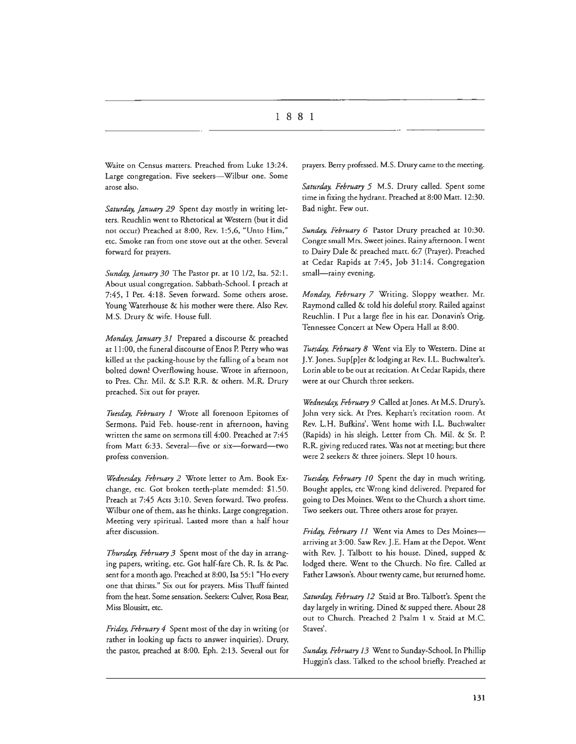Waite on Census matters. Preached from Luke 13:24. Large congregation. Five seekers---Wilbur one. Some arose also.

*Saturday, January 29* Spent day mostly in writing letters. Reuchlin went to Rhetorical at Western (but it did not occur) Preached at 8:00, Rev. 1:5,6, "Unto Him," etc. Smoke ran from one stove out at the other. Several forward for prayers.

*Sunday, January 30* The Pastor pr. at 10 1/2, Isa. 52:1. About usual congregation. Sabbath-School. I preach at 7:45, I Pet. 4:18. Seven forward. Some others arose. Young Waterhouse & his mother were there. Also Rev. M.S. Drury & wife. House full.

*Monday, January 31* Prepared a discourse & preached at 11 :00, the funeral discourse of Enos P. Perry who was killed at the packing-house by the falling of a beam not bolted down! Overflowing house. Wrote in afternoon, to Pres. Chr. Mil. & S.P. R.R. & others. M.R. Drury preached. Six out for prayer.

*Tuesday, February 1* Wrote all forenoon Epiromes of Sermons. Paid Feb. house-rent in afternoon, having written the same on sermons till 4:00. Preached at 7:45 from Matt 6:33. Several-five or six-forward-two profess conversion.

*Wednesday, February 2* Wrote letter to Am. Book Exchange, etc. Got broken teeth-plate memded: \$1.50. Preach at 7:45 Acts 3:10. Seven forward. Two profess. Wilbur one of them, aas he thinks. Large congregation. Meeting very spiritual. Lasted more than a half hour after discussion.

*Thursday, February 3* Spent most of the day in arranging papers, writing, etc. Got half-fare Ch. R. Is. & Pac. sent for a month ago. Preached at 8:00, Isa 55:1 "Ho every one that thirsts." Six out for prayers. Miss Thuff fainted from the heat. Some sensation. Seekers: Culver, Rosa Bear, Miss Blousitt, etc.

*Friday, February 4* Spent most of the day in writing (or rather in looking up facts to answer inquiries). Drury, the pastor, preached at 8:00. Eph. 2: 13. Several out for

prayers. Berry professed. M.S. Drury came to the meeting.

*Saturday, February 5* M.S. Drury called. Spent some time in fixing the hydrant. Preached at 8:00 Matt. 12:30. Bad night. Few out.

*Sunday, February 6* Pastor Drury preached at 10:30. Congre small Mrs. Sweet joines. Rainy afternoon. I went to Dairy Dale & preached matt. 6:7 (Prayer). Preached at Cedar Rapids at 7:45, Job 31:14. Congregation small-rainy evening.

*Monday, February 7* Writing. Sloppy weather. Mr. Raymond called & told his doleful story. Railed against Reuchlin. I Put a large flee in his ear. Donavin's Orig. Tennessee Concert at New Opera Hall at 8:00.

*Tuesday, February 8* Went via Ely to Western. Dine at J.Y. Jones. Sup[p]er & lodging at Rev. LL. Buchwalter's. Lorin able to be out at recitation. At Cedar Rapids, there were at our Church three seekers.

*Wednesday, February 9* Called at Jones. At M.S. Drury's. John very sick. At Pres. Kephart's recitation room. At Rev. L.H. Bufkins'. Went home with l.L. Buchwalter (Rapids) in his sleigh. Letter from Ch. Mil. & St. P. R.R. giving reduced rates. Was not at meeting; but there were 2 seekers & three joiners. Slept 10 hours.

*Tuesday, February 10* Spent the day in much writing. Bought apples, etc Wrong kind delivered. Prepared for going to Des Moines. Went to the Church a short time. Two seekers out. Three others arose for prayer.

Friday, February 11 Went via Ames to Des Moinesarriving at 3:00. Saw Rev. J.E. Ham at the Depot. Went with Rev. J. Talbott to his house. Dined, supped & lodged there. Went to the Church. No fire. Called at Father Lawson's. About twenty came, but returned home.

*Saturday, February 12* Staid at Bro. Talbott's. Spent the day largely in writing. Dined & supped there. About 28 out to Church. Preached 2 Psalm 1 v. Staid at M.C. Staves'.

*Sunday, February 13* Went to Sunday-School. In Phillip Huggin's class. Talked to the school briefly. Preached at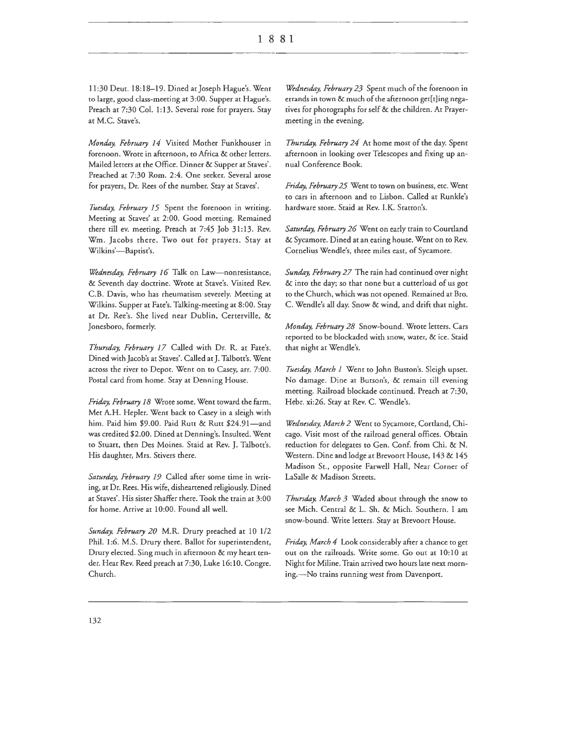11:30 Deur. 18:18-19. Dined at]oseph Hague's. Went to large, good class-meeting at 3:00. Supper at Hague's. Preach at 7:30 Col. 1:13. Several rose for prayers. Stay at M.C. Stave's.

*Monday, February 14* Visited Mother Funkhouser in forenoon. Wrote in afternoon, to Africa & other letters. Mailed letters at the Office. Dinner & Supper at Staves'. Preached at 7:30 Rom. 2:4. One seeker. Several arose for prayers, Dr. Rees of the number. Stay at Staves'.

*Tuesday, February 15* Spent the forenoon in writing. Meeting at Staves' at 2:00. Good meeting. Remained there till ev. meeting. Preach at 7:45 Job 31:13. Rev. Wm. Jacobs there. Two out for prayers. Stay at Wilkins'-Baptist's.

*Wednesday, February 16* Talk on Law-nonresistance, & Seventh day doctrine. Wrote at Stave's. Visited Rev. C.B. Davis, who has rheumatism severely. Meeting at Wilkins. Supper at Fate's. Talking-meeting at 8:00. Stay at Dr. Ree's. She lived near Dublin, Certerville, & Jonesboro, formerly.

*Thursday, February 17* Called with Dr. R. at Fate's. Dined with Jacob's at Staves'. Called at J. Talbott's. Went across the river to Depot. Went on to Casey, arr. 7:00. Postal card from home. Stay at Denning House.

*Friday, February 18* Wrote some. Went toward the farm. Met A.H. Hepler. Went back to Casey in a sleigh with him. Paid him \$9.00. Paid Rutt & Rutt \$24.91-and was credited \$2.00. Dined at Denning's. Insulted. Went to Stuart, then Des Moines. Staid at Rev. J. Talbott's. His daughter, Mrs. Stivers there.

*Saturday, February 19* Called after some time in writing, at Dr. Rees. His wife, disheartened religiously. Dined at Staves'. His sister Shaffer there. Took the train at 3:00 for home. Arrive at 10:00. Found all well.

*Sunday, February 20* M.R. Drury preached at 10 1/2 Phil. 1:6. M.S. Drury there. Ballot for superintendent, Drury elected. Sing much in afternoon & my heart tender. Hear Rev. Reed preach at 7:30, Luke 16:10. Congre. Church.

*Wednesday, February 23* Spent much of the forenoon in errands in town & much of the afternoon get[t]ing negatives for photographs for self & the children. At Prayermeeting in the evening.

*Thursday, February 24* At home most of the day. Spent afternoon in looking over Telescopes and fixing up annual Conference Book.

*Friday, February 25* Went to town on business, etc. Went to cars in afternoon and to Lisbon. Called at Runkle's hardware store. Staid at Rev. l.K. Statton's.

*Saturday, February 26* Went on early train to Courtland & Sycamore. Dined at an eating house. Went on to Rev. Cornelius Wendie's, three miles east, of Sycamore.

*Sunday, February 27* The rain had continued over night & into the day; so that none but a cutterload of us got to the Church, which was not opened. Remained at Bro. C. Wendie's all day. Snow & wind, and drift that night.

*Monday, February 28* Snow-bound. Wrote letters. Cars reported to be blockaded with snow, water, & ice. Staid that night at Wendie's.

*Tuesday, March 1* Went to John Buston's. Sleigh upset. No damage. Dine at Butson's, & remain till evening meeting. Railroad blockade continued. Preach at 7:30, Hebr. xi:26. Stay at Rev. C. Wendle's.

*Wednesday, March 2* Went to Sycamore, Cortland, Chicago. Visit most of the railroad general offices. Obtain reduction for delegates to Gen. Conf. from Chi. & N. Western. Dine and lodge at Brevoort House, 143 & 145 Madison St., opposite Farwell Hall, Near Corner of LaSalle & Madison Streets.

*Thursday, March 3* Waded about through the snow to see Mich. Central & L. Sh. & Mich. Southern. I am snow-bound. Write letters. Stay at Brevoort House.

*Friday, March 4* Look considerably after a chance to get out on the railroads. Write some. Go out at 10:10 at Night for Miline. Train arrived two hours late next morning.-No trains running west from Davenport.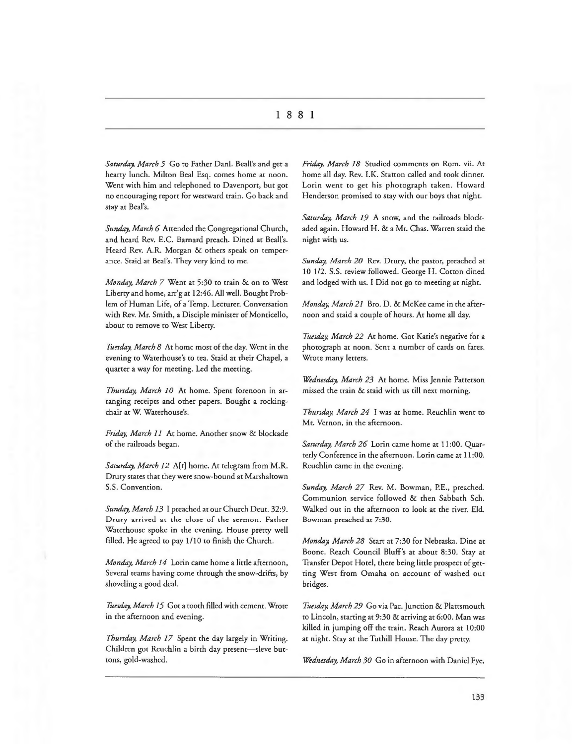*Saturday, March 5* Go to Father Dani. Beall's and get a hearty lunch. Milton Beal Esq. comes home at noon. Went with him and telephoned to Davenport, but got no encouraging report for westward train. Go back and stay at Beal's.

*Sunday, March 6* Attended the Congregational Church, and heard Rev. E.C. Barnard preach. Dined at Beall's. Heard Rev. A.R. Morgan & others speak on temperance. Staid at Beal's. They very kind to me.

*Monday, March 7* Went at 5:30 to train & on to West Liberty and home, arr'g at 12:46. All well. Bought Problem of Human Life, of a Temp. Lecturer. Conversation with Rev. Mr. Smith, a Disciple minister of Monticello, about to remove to West Liberty.

*Tuesday, March 8* At home most of the day. Went in the evening to Waterhouse's to tea. Staid at their Chapel, a quarter a way for meeting. Led the meeting.

*Thursday, March 10* At home. Spent forenoon in arranging receipts and other papers. Bought a rockingchair at W. Waterhouse's.

*Friday, March 11* At home. Another snow & blockade of the railroads began.

*Saturday, March 12* A[t] home. At telegram from M.R. Drury states that they were snow-bound at Marshaltown S.S. Convention.

*Sunday, March 13* I preached at our Church Deur. 32:9. Drury arrived at the close of the sermon. Father Waterhouse spoke in the evening. House pretty well filled. He agreed to pay 1/10 to finish the Church.

*Monday, March 14* Lorin came home a little afternoon, Several teams having come through the snow-drifts, by shoveling a good deal.

*Tuesday, March 15* Got a tooth filled with cement. Wrote in the afternoon and evening.

*Thursday, March 17* Spent the day largely in Writing. Children got Reuchlin a birth day present-sleve buttons, gold-washed.

*Friday, March 18* Studied comments on Rom. vii. At home all day. Rev. l.K. Statton called and took dinner. Lorin went to get his photograph taken. Howard Henderson promised to stay with our boys that night.

*Saturday, March 19* A snow, and the railroads blockaded again. Howard H. & a Mr. Chas. Warren staid the night with us.

*Sunday, March 20* Rev. Drury, the pastor, preached at 10 1/2. S.S. review followed. George H. Cotton dined and lodged with us. I Did not go to meeting at night.

*Monday, March 21* Bro. D. & McKee came in the afternoon and staid a couple of hours. At home all day.

*Tuesday, March 22* At home. Got Katie's negative for a photograph at noon. Sent a number of cards on fares. Wrote many letters.

*Wednesday, March 23* At home. Miss Jennie Patterson missed the train & staid with us till next morning.

*Thursday, March 24* I was at home. Reuchlin went to Mt. Vernon, in the afternoon.

*Saturday, March 26* Lorin came home at 11 :00. Quarterly Conference in the afternoon. Lorin came at 11 :00. Reuchlin came in the evening.

*Sunday, March 27* Rev. M. Bowman, P.E., preached. Communion service followed & then Sabbath Sch. Walked out in the afternoon to look at the river. Eld. Bowman preached at 7:30.

*Monday, March 28* Start at 7:30 for Nebraska. Dine at Boone. Reach Council Bluff's at about 8:30. Stay at Transfer Depot Hotel, there being little prospect of getting West from Omaha on account of washed out bridges.

*Tuesday, March 29* Go via Pac. Junction & Plattsmouth to Lincoln, starting at 9:30 & arriving at 6:00. Man was killed in jumping off the train. Reach Aurora at 10:00 at night. Stay at the Tuthill House. The day pretty.

*Wednesday, March 30* Go in afternoon with Daniel Fye,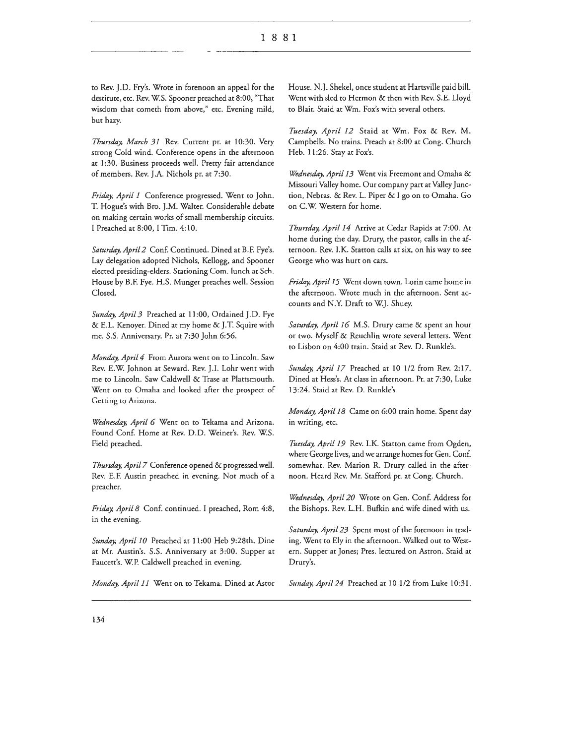to Rev. J.D. Fry's. Wrote in forenoon an appeal for the destitute, etc. Rev. W.S. Spooner preached at 8:00, "That wisdom that cometh from above," etc. Evening mild, but hazy.

*Thursday, March 31* Rev. Current pr. at 10:30. Very strong Cold wind. Conference opens in the afternoon at 1:30. Business proceeds well. Pretty fair attendance of members. Rev. J.A. Nichols pr. at 7:30.

*Friday, April 1* Conference progressed. Went to John. T. Hogue's with Bro. J.M. Walter. Considerable debate on making certain works of small membership circuits. I Preached at 8:00, I Tim. 4:10.

*Saturday, April 2* Conf. Continued. Dined at B.F. Fye's. Lay delegation adopted Nichols, Kellogg, and Spooner elected presiding-elders. Stationing Com. lunch at Sch. House by B.F. Fye. H.S. Munger preaches well. Session Closed.

Sunday, April 3 Preached at 11:00, Ordained J.D. Fye & E.L. Kenoyer. Dined at my home & J. T. Squire with me. S.S. Anniversary. Pr. at 7:30 John 6:56.

*Monday, April 4* From Aurora went on to Lincoln. Saw Rev. E.W. Johnon at Seward. Rev. J.1. Lohr went with me to Lincoln. Saw Caldwell & Trase at Plattsmouth. Went on to Omaha and looked after the prospect of Getting to Arizona.

*Wednesday, April 6* Went on to Tekama and Arizona. Found Conf. Home at Rev. D.D. Weiner's. Rev. W.S. Field preached.

*Thursday, April 7* Conference opened & progressed well. Rev. E.F. Austin preached in evening. Not much of a preacher.

*Friday, April 8* Conf. continued. I preached, Rom 4:8, in the evening.

*Sunday, April 10* Preached at 11 :00 Heb 9:28th. Dine at Mr. Austin's. S.S. Anniversary at 3:00. Supper at Faucett's. W.P. Caldwell preached in evening.

*Monday, April 11* Went on to Tekama. Dined at Astor

House. N.J. Shekel, once student at Hartsville paid bill. Went with sled to Hermon & then with Rev. S.E. Lloyd to Blair. Staid at Wm. Fox's with several others.

*Tuesday, April 12* Staid at Wm. Fox & Rev. M. Campbells. No trains. Preach at 8:00 at Cong. Church Heb. 11 :26. Stay at Fox's.

*Wednesday, April 13* Went via Freemont and Omaha & Missouri Valley home. Our company part at Valley Junction, Nebras. & Rev. L. Piper & I go on to Omaha. Go on C.W. Western for home.

*Thursday, April 14* Arrive at Cedar Rapids at 7:00. At home during the day. Drury, the pastor, calls in the afternoon. Rev. l.K. Statton calls at six, on his way to see George who was hurt on cars.

*Friday, April 15* Went down town. Lorin came home in the afternoon. Wrote much in the afternoon. Sent accounts and N.Y. Draft to W.J. Shuey.

*Saturday, April 16* M.S. Drury came & spent an hour or two. Myself & Reuchlin wrote several letters. Went to Lisbon on 4:00 train. Staid at Rev. D. Runkle's.

*Sunday, April 17* Preached at 10 1/2 from Rev. 2:17. Dined at Hess's. At class in afternoon. Pr. at 7:30, Luke 13:24. Staid at Rev. D. Runkle's

*Monday, April 18* Came on 6:00 train home. Spent day in writing, etc.

*Tuesday, April 19* Rev. l.K. Statton came from Ogden, where George lives, and we arrange homes for Gen. Conf. somewhat. Rev. Marion R. Drury called in the afternoon. Heard Rev. Mr. Stafford pr. at Cong. Church.

*Wednesday, April 20* Wrote on Gen. Conf. Address for the Bishops. Rev. L.H. Bufkin and wife dined with us.

*Saturday, April 23* Spent most of the forenoon in trading. Went to Ely in the afternoon. Walked out to Western. Supper at Jones; Pres. lectured on Astron. Staid at Drury's.

*Sunday, April 24* Preached at 10 1/2 from Luke 10:31.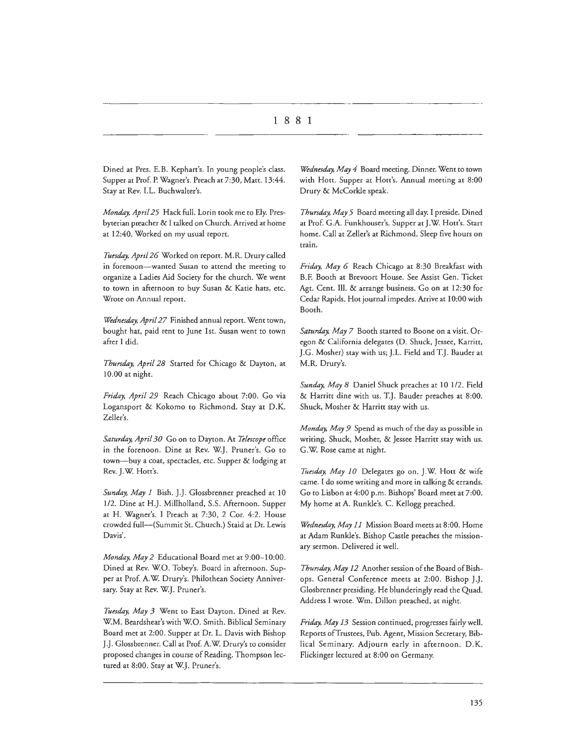Dined at Pres. E.B. Kephart's. In young people's class. Supper at Prof. P. Wagner's. Preach at 7:30, Matt. 13:44. Stay at Rev. I.L. Buchwalter's.

*Monday, April 25* Hack full. Lorin took me co Ely. Presbyterian preacher & I talked on Church. Arrived at home at 12:40. Worked on my usual report.

*Tuesday. April 26* Worked on report. M.R. Drury called in forenoon-wanted Susan to attend the meeting to organize a Ladies Aid Society for the church. We went to town in afternoon to buy Susan & Katie hats, etc. Wrote on Annual report.

*Wednesday, April 27* Finished annual report. Went town, bought hat, paid rent to June 1st. Susan went to town after I did.

*Thursday, April 28* Started for Chicago & Dayton, at 10.00 at night.

*Friday, April 29* Reach Chicago about 7:00. Go via Logansport & Kokomo to Richmond. Stay at D.K. Zeller's.

*Saturday. April 30* Go on co Dayton. Ac *Telescope* office in the forenoon. Dine at Rev. W.J. Pruner's. Go to town-buy a coat, spectacles, etc. Supper & lodging at Rev. J.W. Hott's.

*Sunday, May I* Bish. J.J. Glossbrenner preached at 10 1/2. Dine at H.J. Millholland, S.S. Afternoon. Supper at H. Wagner's. I Preach at 7:30, 2 Cor. 4:2. House crowded full-(Summit St. Church.) Staid at Dr. Lewis Davis'.

*Monday, May 2* Educational Board met at 9:00-10:00. Dined at Rev. WO. Tobey's. Board in afternoon. Supper at Prof. A.W. Drury's. Philothean Society Anniversary. Stay at Rev. W.J. Pruner's.

*Tuesday, May 3* Went to East Dayton. Dined at Rev. WM. Beardshear's with WO. Smith. Biblical Seminary Board met at 2:00. Supper at Dr. L. Davis with Bishop J.J. Glossbrenner. Call at Prof. A.W. Drury's to consider proposed changes in course of Reading. Thompson lectured at 8:00. Stay at W.J. Pruner's.

*Wednesday, May 4* Board meeting. Dinner. Went to town with Hott. Supper at Hott's. Annual meeting at 8:00 Drury & McCorkle speak.

*Thursday. May 5* Board meeting all day. I preside. Dined at Prof. G.A. Funkhouser's. Supper at J.W. Hott's. Start home. Call at Zeller's at Richmond. Sleep five hours on train.

*Friday. May 6* Reach Chicago at 8:30 Breakfast with B.F. Booth at Brevoort House. See Assist Gen. Ticket Age. Cent. Ill. & arrange business. Go on at 12:30 for Cedar Rapids. Hoc journal impedes. Arrive at 10:00 with Booth.

*Saturday. May 7* Booth started co Boone on a visit. Oregon & California delegates (D. Shuck, Jessee, Karritt, ].G. Mosher) stay with us; J.L. Field and T.J. Bauder at M.R. Drury's.

*Sunday, May 8* Daniel Shuck preaches at 10 1/2. Field & Harritt dine with us. T.J. Bauder preaches at 8:00. Shuck, Mosher & Harritt stay with us.

*Monday. May 9* Spend as much of the day as possible in writing. Shuck, Mosher, & Jessee Harritt stay with us. G.W. Rose came at night.

*Tuesday. May JO* Delegates go on. J.W Hott & wife came. I do some writing and more in talking & errands. Go to Lisbon at 4:00 p.m. Bishops' Board meet at 7:00. My home at A. Runkle's. C. Kellogg preached.

*Wednesday, May 11* Mission Board meets at 8:00. Home at Adam Runkle's. Bishop Cascle preaches the missionary sermon. Delivered it well.

*Thursday, May 12* Another session of the Board of Bishops. General Conference meets at 2:00. Bishop J.J. Glosbrenner presiding. He blunderingly read the Quad. Address I wrote. Wm. Dillon preached, at night.

*Friday, May 13* Session continued, progresses fairly well. Reports ofTrustees, Pub. Agent, Mission Secretary, Biblical Seminary. Adjourn early in afternoon. D.K. Flickinger lectured at 8:00 on Germany.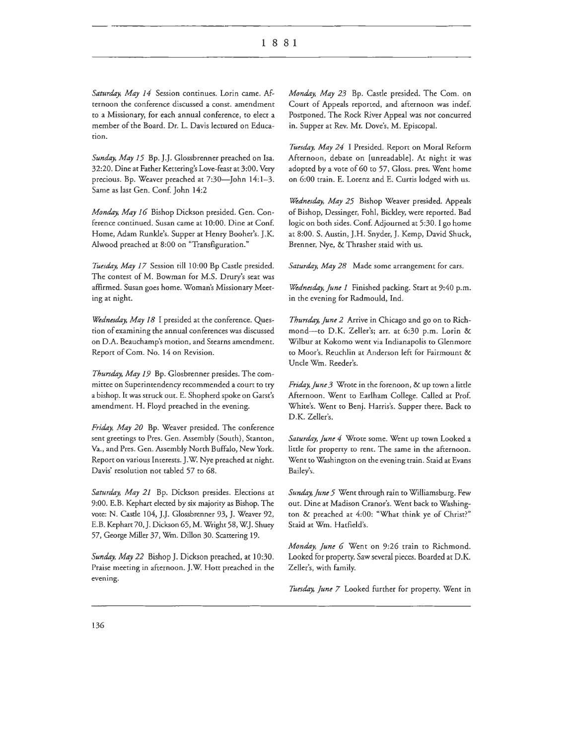Saturday, May 14 Session continues. Lorin came. Afternoon the conference discussed a const. amendment to a Missionary, for each annual conference, to elect a member of the Board. Dr. L. Davis lectured on Education.

Sunday, May 15 Bp. J.J. Glossbrenner preached on Isa. 32:20. Dine at Father Kettering's Love-feast at 3:00. Very precious. Bp. Weaver preached at 7:30-John 14:1-3. Same as last Gen. Conf. John 14:2

*Monday, May 16* Bishop Dickson presided. Gen. Conference continued. Susan came at 10:00. Dine at Conf. Home, Adam Runkle's. Supper at Henry Booher's. J.K. Alwood preached at 8:00 on "Transfiguration."

Tuesday, May 17 Session till 10:00 Bp Castle presided. The contest of M. Bowman for M.S. Drury's seat was affirmed. Susan goes home. Woman's Missionary Meeting at night.

*Wednesday, May 18* I presided at the conference. Question of examining the annual conferences was discussed on D.A. Beauchamp's motion, and Stearns amendment. Report of Com. No. 14 on Revision.

*Thursday, May 19* Bp. Glosbrenner presides. The committee on Superintendency recommended a court to try a bishop. It was struck out. E. Shopherd spoke on Garst's amendment. H. Floyd preached in the evening.

*Friday, May 20* Bp. Weaver presided. The conference sent greetings to Pres. Gen. Assembly (South), Stanton, Va., and Pres. Gen. Assembly North Buffalo, New York. Report on various Interests. J.W. Nye preached at night. Davis' resolution not tabled 57 to 68.

Saturday, May 21 Bp. Dickson presides. Elections at 9:00. E.B. Kephart elected by six majority as Bishop. The vote: N. Castle 104, J.J. Glossbrenner 93, J. Weaver 92, E.B. Kephart 70, J. Dickson 65, M. Wright 58, W.J. Shuey 57, George Miller 37, Wm. Dillon 30. Scattering 19.

*Sunday, May 22* Bishop]. Dickson preached, at 10:30. Praise meeting in afternoon. J.W. Hott preached in the evening.

*Monday, May 23* Bp. Castle presided. The Com. on Court of Appeals reported, and afternoon was indef. Postponed. The Rock River Appeal was not concurred in. Supper at Rev. Mr. Dove's, M. Episcopal.

*Tuesday, May 24* I Presided. Report on Moral Reform Afternoon, debate on [unreadable]. At night it was adopted by a vote of 60 to 57, Gloss. pres. Went home on 6:00 train. E. Lorenz and E. Curtis lodged with us.

*Wednesday, May 25* Bishop Weaver presided. Appeals of Bishop, Dessinger, Fohl, Bickley, were reported. Bad logic on both sides. Conf. Adjourned at 5:30. I go home at 8:00. S. Austin, J.H. Snyder, J. Kemp, David Shuck, Brenner, Nye, & Thrasher staid with us.

Saturday, May 28 Made some arrangement for cars.

*Wednesday, June 1* Finished packing. Start at 9:40 p.m. in the evening for Radmould, Ind.

*Thursday, June 2* Arrive in Chicago and go on to Richmond-to D.K. Zeller's; arr. at 6:30 p.m. Lorin & Wilbur at Kokomo went via Indianapolis to Glenmore to Moor's. Reuchlin at Anderson left for Fairmount & Uncle Wm. Reeder's.

*Friday, June 3* Wrote in the forenoon, & up town a little Afternoon. Went to Earlham College. Called at Pro£ White's. Went to Benj. Harris's. Supper there. Back to D.K. Zeller's.

Saturday, June 4 Wrote some. Went up town Looked a little for property to rent. The same in the afternoon. Went to Washington on the evening train. Staid at Evans Bailey's.

Sunday, June 5 Went through rain to Williamsburg. Few out. Dine at Madison Cranor's. Went back to Washington & preached at 4:00: "What think ye of Christ?" Staid at Wm. Hatfield's.

*Monday, June 6* Went on 9:26 train to Richmond. Looked for property. Saw several pieces. Boarded at D.K. Zeller's, with family.

*Tuesday, Jime 7* Looked further for property. Went in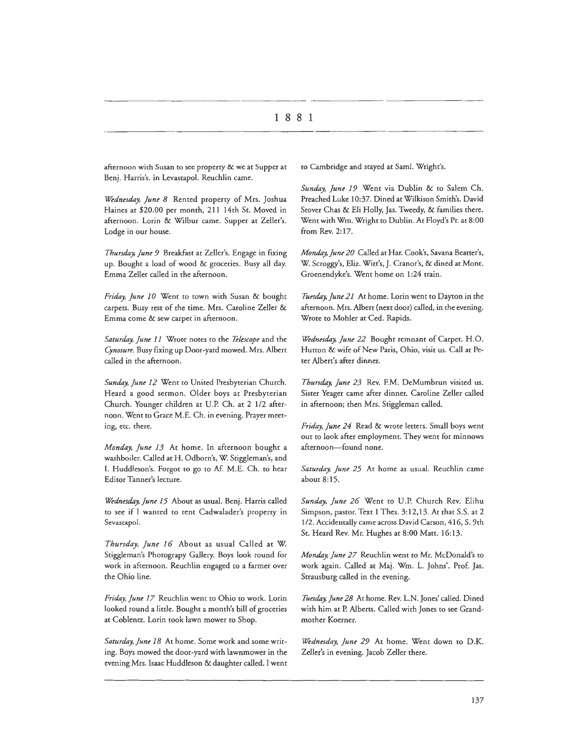afternoon with Susan to see property & we at Supper at Benj. Harris's. in Levastapol. Reuchlin came.

*Wednesday, June 8* Rented property of Mrs. Joshua Haines at \$20.00 per month, 211 14th St. Moved in afternoon. Lorin & Wilbur came. Supper at Zeller's. Lodge in our house.

*Thursday, June 9* Breakfast at Zeller's. Engage in fixing up. Bought a load of wood & groceries. Busy all day. Emma Zeller called in the afternoon.

Friday, June 10 Went to town with Susan & bought carpets. Busy rest of the time. Mrs. Caroline Zeller & Emma come & sew carpet in afternoon.

*Saturday, June 11* Wrote notes to the *Telescope* and the *Cynosure.* Busy fixing up Door-yard mowed. Mrs. Albert called in the afternoon.

*Sunday, June 12* Went to United Presbyterian Church. Heard a good sermon. Older boys at Presbyterian Church. Younger children at U.P. Ch. at 2 112 afternoon. Went to Grace M.E. Ch. in evening. Prayer meeting, etc. there.

*Monday, June 13* At home. In afternoon bought a washboiler. Called at H. Odborn's, W. Stiggleman's, and I. Huddleson's. Forgot to go to Af. M.E. Ch. to hear Editor Tanner's lecture.

*Wednesday, June 15* About as usual. Benj. Harris called to see if I wanted to rent Cadwalader's property in Sevastapol.

*Thursday, June 16* About as usual Called at W. Stiggleman's Photograpy Gallery. Boys look round for work in afternoon. Reuchlin engaged to a farmer over the Ohio line.

*Friday, June 17* Reuchlin went to Ohio to work. Lorin looked round a little. Bought a month's bill of groceries at Coblentz. Lorin took lawn mower to Shop.

*Saturday,]une 18* At home. Some work and some writing. Boys mowed the door-yard with lawnmower in the evening Mrs. Isaac Huddleson & daughter called. I went

to Cambridge and stayed at Saml. Wright's.

*Sunday, June 19* Went via Dublin & to Salem Ch. Preached Luke 10:37. Dined at Wilkison Smith's. David Stover Chas & Eli Holly, Jas. Tweedy, & families there. Went with Wm. Wright to Dublin. At Floyd's Pr. at 8:00 from Rev. 2:17.

*Monday, June 20* Called at Har. Cook's, Savana Beatter's, W. Scroggy's, Eliz. Witt's, J. Cranor's, & dined at Mont. Groenendyke's. Went home on l :24 train.

*Tuesday, June 21* At home. Lorin went to Dayton in the afternoon. Mrs. Albert (next door) called, in the evening. Wrote to Mohler at Ced. Rapids.

*Wednesday, June 22* Bought remnant of Carpet. H.O. Hutton & wife of New Paris, Ohio, visit us. Call at Peter Albert's after dinner.

*Thursday, June 23* Rev. F.M. DeMumbrun visited us. Sister Yeager came after dinner. Caroline Zeller called in afternoon; then Mrs. Stiggleman called.

*Friday, June 24* Read & wrote letters. Small boys went out to look after employment. They went for minnows afternoon-found none.

*Saturday, June 25* At home as usual. Reuchlin came about 8:15.

*S1mday, June 26* Went to U.P. Church Rev. Elihu Simpson, pastor. Text l Thes. 3:12,13. At chat S.S. at 2 1/2. Accidentally came across David Carson, 416, S. 9th St. Heard Rev. Mr. Hughes at 8:00 Matt. 16:13.

*Monday, June 27* Reuchlin went to Mr. McDonald's to work again. Called at Maj. Wm. L. Johns'. Prof. Jas. Strausburg called in the evening.

Tuesday, June 28 At home. Rev. L.N. Jones' called. Dined with him at P. Alberts. Called with Jones to see Grandmother Koerner.

*Wednesday, June 29* At home. Went down to D.K. Zeller's in evening. Jacob Zeller there.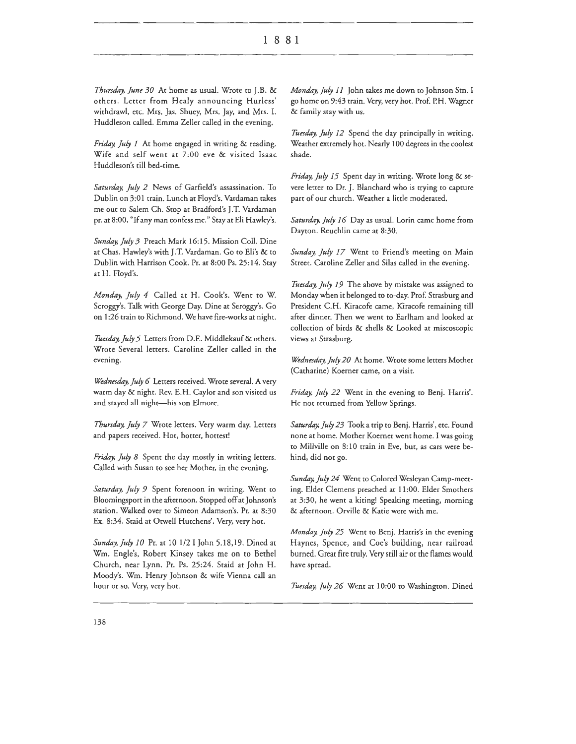*Thursday, June 30* At home as usual. Wrote to J.B. & others. Letter from Healy announcing Hurless' withdraw!, etc. Mrs. Jas. Shuey, Mrs. Jay, and Mrs. I. Huddleson called. Emma Zeller called in the evening.

*Friday. July 1* At home engaged in writing & reading. Wife and self went at 7:00 eve & visited Isaac Huddleson's till bed-rime.

*Samrday. July 2* News of Garfield's assassination. To Dublin on 3:01 train. Lunch at Floyd's. Vardaman takes me out to Salem Ch. Stop at Bradford's J.T. Vardaman pr. at 8:00, "If any man confess me." Stay at Eli Hawley's.

*Sunday.July3* Preach Mark 16:15. Mission Coll. Dine at Chas. Hawley's with J.T. Vardaman. Go to Eli's & to Dublin with Harrison Cook. Pr. at 8:00 Ps. 25: 14. Stay at H. Floyd's.

*Monday, July 4* Called at H. Cook's. Went to W. Scroggy's. Talk with George Day. Dine at Seroggy's. Go on 1:26 train to Richmond. We have fire-works at night.

*Tuesday. July 5* Letters from D.E. Middlekauf & others. Wrote Several letters. Caroline Zeller called in the evening.

*Wednesday. July 6* Letters received. Wrote several. A very warm day & night. Rev. E.H. Caylor and son visited us and stayed all night-his son Elmore.

*Thursday, July 7* Wrote letters. Very warm day. Letters and papers received. Hot, hotter, hottest!

*Friday, July 8* Spent the day mostly in writing letters. Called with Susan to see her Mother, in the evening.

Saturday, July 9 Spent forenoon in writing. Went to Bloomingsport in the afternoon. Stopped off at Johnson's station. Walked over to Simeon Adamson's. Pr. at 8:30 Ex. 8:34. Staid at Otwell Hutchens'. Very, very hot.

*S11nday.July* JO Pr. at 10 1/2 I John 5.18,19. Dined at Wm. Engle's, Robert Kinsey takes me on to Bethel Church, near Lynn. Pr. Ps. 25:24. Staid at John H. Moody's. Wm. Henry Johnson & wife Vienna call an hour or so. Very, very hot.

*Monday, July 11* John takes me down to Johnson Stn. I go home on 9:43 train. Very, very hot. Prof. P.H. Wagner & family stay with us.

Tuesday, July 12 Spend the day principally in writing. Weather extremely hot. Nearly I 00 degrees in the coolest shade.

*Friday, July 15* Spent day in writing. Wrote long & severe letter to Or. J. Blanchard who is trying to capture part of our church. Weather a little moderated.

Saturday, July 16 Day as usual. Lorin came home from Dayton. Reuchlin came at 8:30.

*Sunday, July 17* Went to Friend's meeting on Main Street. Caroline Zeller and Silas called in the evening.

*Tuesday. July 19* The above by mistake was assigned to Monday when it belonged to to-day. Prof. Strasburg and President C.H. Kiracofe came, Kiracofe remaining till after dinner. Then we went to Earlham and looked at collection of birds & shells & Looked at miscoscopic views at Strasburg.

*Wednesday. July 20* At home. Wrote some letters Mother (Catharine) Koerner came, on a visit.

*Friday, J11ly 22* Went in the evening to Benj. Harris'. He not returned from Yellow Springs.

Saturday, July 23 Took a trip to Benj. Harris', etc. Found none at home. Mother Koerner went home. I was going to Millville on 8: 10 train in Eve, but, as cars were behind, did not go.

*Sunday. July 24* Went to Colored Wesleyan Camp-meeting. Elder Clemens preached at 11 :00. Elder Smothers at 3:30, he went a kiting! Speaking meeting, morning & afternoon. Orville & Katie were with me.

*Monday. July 25* Went to Benj. Harris's in the evening Haynes, Spence, and Coe's building, near railroad burned. Great fire truly. Very still air or the flames would have spread.

*Tuesday. July 26* Went at 10:00 to Washington. Dined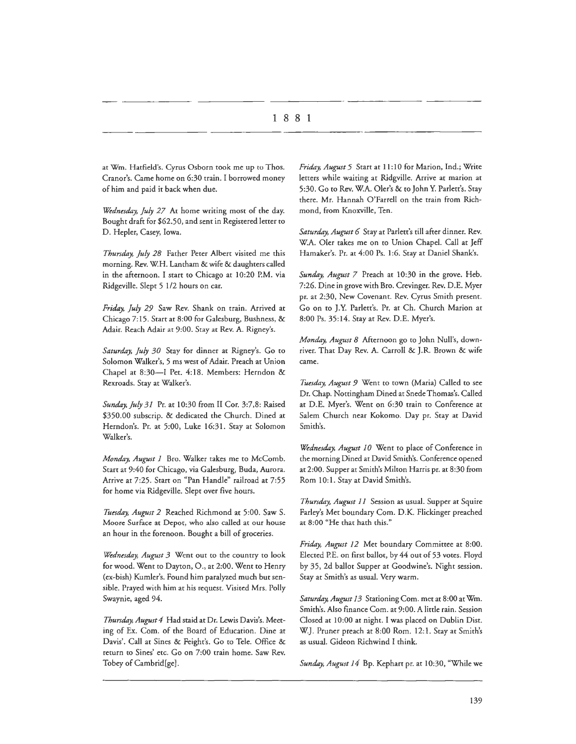at Wm. Hatfield's. Cyrus Osborn rook me up to Thos. Cranor's. Came home on 6:30 train. I borrowed money of him and paid it back when due.

*Wednesday, July 27* At home writing most of the day. Bought draft for \$62.50, and sent in Registered letter to D. Hepler, Casey, Iowa.

*Thursday, July 28* Father Peter Albert visited me this morning. Rev. WH. Lantham & wife & daughters called in the afternoon. I start to Chicago at 10:20 P.M. via Ridgeville. Slept 5 l /2 hours on car.

*Friday, July 29* Saw Rev. Shank on train. Arrived at Chicago 7:15. Start at 8:00 for Galesburg, Bushness, & Adair. Reach Adair at 9:00. Stay at Rev. A. Rigney's.

*Saturday, July 30* Stay for dinner at Rigney's. Go to Solomon Walker's, 5 ms west of Adair. Preach at Union Chapel at 8:30-I Pet. 4:18. Members: Herndon & Rexroads. Stay at Walker's.

*Sunday, July 31* Pr. at l 0:30 from II Cor. 3:7,8: Raised \$350.00 subscrip. & dedicated the Church. Dined at Herndon's. Pr. at 5:00, Luke 16:31. Stay at Solomon Walker's.

*Monday, August 1* Bro. Walker takes me to McComb. Start at 9:40 for Chicago, via Galesburg, Buda, Aurora. Arrive at 7:25. Start on "Pan Handle" railroad at 7:55 for home via Ridgeville. Slept over five hours.

*Tuesday, August 2* Reached Richmond at 5:00. Saw S. Moore Surface at Depot, who also called at our house an hour in the forenoon. Bought a bill of groceries.

*Wednesday, August 3* Went out to the country to look for wood. Went to Dayton, O., at 2:00. Went to Henry (ex-bish) Kumler's. Found him paralyzed much but sensible. Prayed wich him ac his request. Visited Mrs. Polly Swaynie, aged 94.

*Thursday, August 4* Had staid at Dr. Lewis Davis's. Meeting of Ex. Com. of the Board of Education. Dine at Davis'. Call at Sines & Feight's. Go to Tele. Office & return ro Sines' ecc. Go on 7:00 train home. Saw Rev. Tobey of Cambrid[ge].

*Friday, August 5* Start at 11: 10 for Marion, Ind.; Write letters while waiting at Ridgville. Arrive at marion at 5:30. Go to Rev. W.A. Oler's & to John Y. Parlett's. Seay there. Mr. Hannah O'Farrell on rhe train from Richmond, from Knoxville, Ten.

Saturday, August 6 Stay at Parlett's till after dinner. Rev. W.A. Oler takes me on to Union Chapel. Call at Jeff Hamaker's. Pr. at 4:00 Ps. 1:6. Stay at Daniel Shank's.

*Sunday, August 7* Preach at 10:30 in the grove. Heb. 7:26. Dine in grove with Bro. Crevinger. Rev. D.E. Myer pr. at 2:30, New Covenant. Rev. Cyrus Smith present. Go on ro J.Y. Parlett's. Pr. at Ch. Church Marion at 8:00 Ps. 35:14. Stay at Rev. D.E. Myer's.

*Monday, August 8* Afternoon go co John Null's, downriver. That Day Rev. A. Carroll & J.R. Brown & wife came.

Tuesday, August 9 Went to town (Maria) Called to see Dr. Chap. Nottingham Dined at Snede Thomas's. Called at D.E. Myer's. Went on 6:30 train to Conference at Salem Church near Kokomo. Day pr. Stay at David Smith's.

*Wednesday, August 10* Went to place of Conference in the morning Dined at David Smith's. Conference opened at 2:00. Supper ac Smith's Milron Harris pr. ac 8:30 from Rom 10:1. Stay at David Smith's.

*Thursday, August 11* Session as usual. Supper at Squire Farley's Met boundary Com. D.K. Flickinger preached at 8:00 "He that hath this."

Friday, August 12 Met boundary Committee at 8:00. Elected P.E. on first ballot, by 44 out of 53 votes. Floyd by 35, 2d ballot Supper at Goodwine's. Night session. Stay at Smith's as usual. Very warm.

Saturday, August 13 Stationing Com. met at 8:00 at Wm. Smith's. Also finance Com. at 9:00. A little rain. Session Closed at 10:00 at night. I was placed on Dublin Dist. W.J. Pruner preach at 8:00 Rom. 12:1. Stay at Smith's as usual. Gideon Richwind I chink.

Sunday, August 14 Bp. Kephart pr. at 10:30, "While we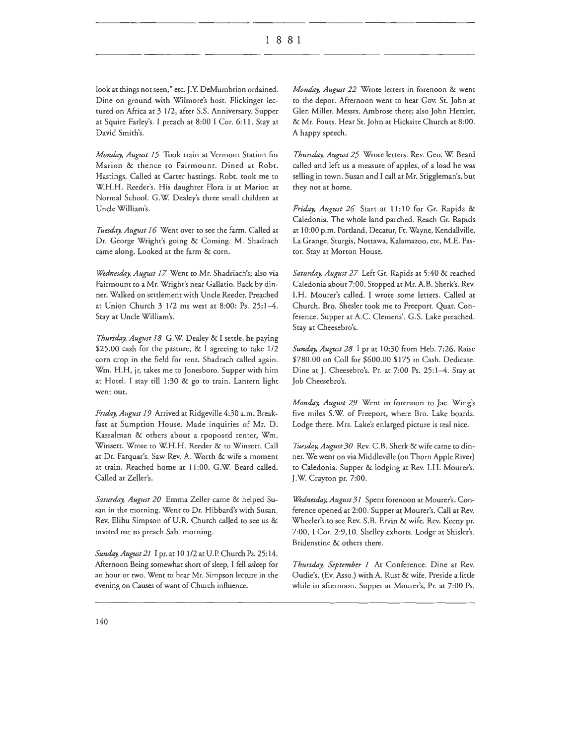look at things nor seen," etc. J.Y. DeMumbrion ordained. Dine on ground with Wilmore's host. Flickinger lectured on Africa at 3 1/2, after S.S. Anniversary. Supper at Squire Farley's. I preach at 8:00 I Cor. 6: 11. Stay at David Smith's.

*Monday, August 15* Took train at Vermont Station for Marion & thence to Fairmount. Dined at Robt. Hastings. Called at Carter hastings. Robt. took me to W.H.H. Reeder's. His daughter Flora is at Marion at Normal School. G.W. Dealey's three small children at Uncle William's.

Tuesday, August 16 Went over to see the farm. Called at Dr. George Wright's going & Coming. M. Shadrach came along. Looked at the farm & corn.

*Wednesday, A11gmt 17* Went to Mr. Shadriach's; also via Fairmount to a Mr. Wright's near Gallatio. Back by dinner. Walked on settlement with Uncle Reeder. Preached at Union Church 3 1/2 ms west at 8:00: Ps. 25:1-4. Stay at Uncle William's.

*Thursday, August 18 G.W. Dealey & I settle, he paying* \$25.00 cash for the pasture, & I agreeing to take 1/2 corn crop in the field for rent. Shadrach called again. Wm. H.H, jr, takes me to Jonesboro. Supper with him at Hotel. I stay till 1:30 & go to train. Lantern light went our.

*Friday, A11g11st 19* Arrived ac Ridgeville 4:30 a.m. Breakfast at Sumption House. Made inquiries of Mr. D. Kassalman & ochers about a rpoposed renter, Wm. Winsett. Wrote co W.H.H. Reeder & co Winsett. Call at Dr. Farquar's. Saw Rev. A. Worth & wife a moment at train. Reached home at 11:00. G.W. Beard called. Called at Zeller's.

Saturday, August 20 Emma Zeller came & helped Susan in the morning. Went to Dr. Hibbard's with Susan. Rev. Elihu Simpson of U.R. Church called to see us & invited me to preach Sab. morning.

*Sunday, August 21* I pr. at 10 1/2 at U.P. Church Ps. 25:14. Afternoon Being somewhat short of sleep, I fell asleep for an hour or two. Went to hear Mr. Simpson lecture in the evening on Causes of want of Church influence.

*Monday, August 22* Wrote letters in forenoon & went to the depot. Afternoon went to hear Gov. St. John at Glen Miller. Messrs. Ambrose there; also John Hetzler, & Mr. Fouts. Hear St. John at Hicksite Church at 8:00. A happy speech.

*Thursday, August 25* Wrote letters. Rev. Geo. W. Beard called and left us a measure of apples, of a load he was selling in town. Susan and I call at Mr. Stiggleman's, but they not at home.

*Friday, August 26* Start at 11:10 for Gr. Rapids & Caledonia. The whole land parched. Reach Gr. Rapids at 10:00 p.m. Portland, Decatur, Ft. Wayne, Kendallville, La Grange, Sturgis, Nottawa, Kalamazoo, etc, M.E. Pastor. Stay at Morton House.

Saturday, August 27 Left Gr. Rapids at 5:40 & reached Caledonia about 7:00. Stopped at Mr. A.B. Sherk's. Rev. I.H. Mourer's called. I wrote some letters. Called at Church. Bro. Shesler took me to Freeport. Quar. Conference. Supper at A.C. Clemens'. G.S. Lake preached. Stay at Cheesebro's.

*Sunday, August 28* I pr at 10:30 from Heb. 7:26. Raise \$780.00 on Coll for \$600.00 \$175 in Cash. Dedicate. Dine at J. Cheesebro's. Pr. at 7:00 Ps. 25:1-4. Stay at Job Cheesebro's.

*Monday, August 29* Went in forenoon to Jac. Wing's five miles S.W. of Freeport, where Bro. Lake boards. Lodge there. Mrs. Lake's enlarged picture is real nice.

Tuesday, August 30 Rev. C.B. Sherk & wife came to dinner. We went on via Middleville (on Thorn Apple River) to Caledonia. Supper & lodging at Rev. I.H. Mourer's. J.W. Crayton pr. 7:00.

*Wednesday, August 31* Spent forenoon at Mourer's. Conference opened at 2:00. Supper at Mourer's. Call at Rev. Wheeler's to see Rev. S.B. Ervin & wife. Rev. Keeny pr. 7:00, I Cor. 2:9,10. Shelley exhorts. Lodge at Shisler's. Bridenstine & others there.

*Thursday, September 1* At Conference. Dine at Rev. Oudie's, (Ev. Asso.) with A. Rust & wife. Preside a little while in afternoon. Supper at Mourer's, Pr. at 7:00 Ps.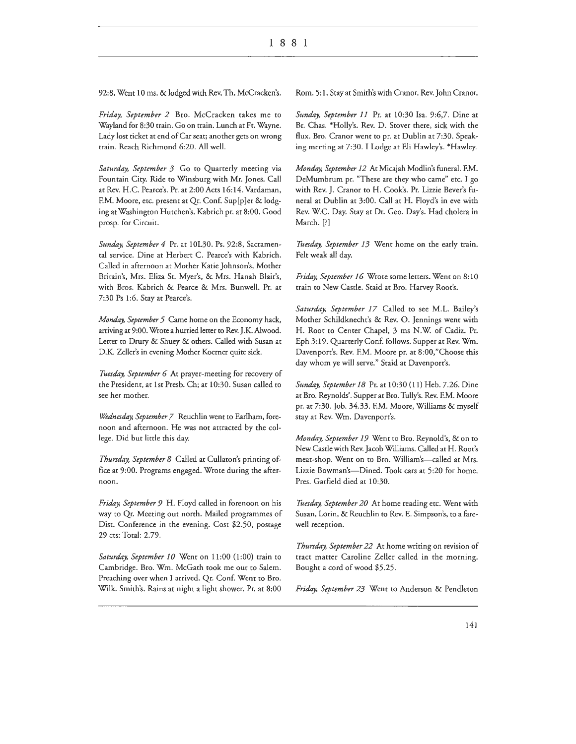92:8. Went 10 ms. & lodged with Rev. Th. McCracken's.

*Friday, September 2* Bro. McCracken takes me to Wayland for 8:30 train. Go on train. Lunch at Ft. Wayne. Lady lost ticket at end of Car seat; another gets on wrong train. Reach Richmond 6:20. All well.

*Saturday, September 3* Go to Quarterly meeting via Fountain City. Ride to Winsburg with Mr. Jones. Call at Rev. H.C. Pearce's. Pr. at 2:00 Acts 16:14. Vardaman, F.M. Moore, etc. present at Qr. Conf. Sup[p]er & lodging at Washington Hutchen's. Kabrich pr. at 8:00. Good prosp. for Circuit.

Sunday, September 4 Pr. at 10L30. Ps. 92:8, Sacramental service. Dine at Herbert C. Pearce's with Kabrich. Called in afternoon at Mother Katie Johnson's, Mother Britain's, Mrs. Eliza St. Myer's, & Mrs. Hanah Blair's, with Bros. Kabrich & Pearce & Mrs. Bunwell. Pr. at 7:30 Ps 1:6. Stay at Pearce's.

*Monday, September 5* Came home on the Economy hack, arriving at 9:00. Wrote a hurried letter to Rev. J.K. Alwood. Letter to Drury & Shuey & others. Called with Susan at D.K. Zeller's in evening Mother Koerner quite sick.

*Tuesday, September 6* At prayer-meeting for recovery of the President, at 1st Presb. Ch; at 10:30. Susan called to see her mother.

*Wednesday, September 7* Reuchlin went to Earlham, forenoon and afternoon. He was not attracted by the college. Did but little this day.

*Thursday, September 8* Called at Cullaton's printing office at 9:00. Programs engaged. Wrote during the afternoon.

*Friday, September 9* H. Floyd called in forenoon on his way to Qr. Meeting out north. Mailed programmes of Dist. Conference in the evening. Cost \$2.50, postage 29 cts: Total: 2.79.

Saturday, September 10 Went on 11:00 (1:00) train to Cambridge. Bro. Wm. McGath took me out to Salem. Preaching over when I arrived. Qr. Conf. Went to Bro. Wilk. Smith's. Rains at night a light shower. Pr. at 8:00 Rom. 5: 1. Stay at Smith's with Cranor. Rev. John Cranor.

*Sunday, September 11* Pr. at 10:30 Isa. 9:6,7. Dine at Br. Chas. \*Holly's. Rev. D. Stover there, sick with the flux. Bro. Cranor went to pr. at Dublin at 7:30. Speaking meeting at 7:30. I Lodge at Eli Hawley's. \*Hawley.

*Monday, September 12* At Micajah Modlin's funeral. F.M. DeMumbrum pr. "These are they who came" etc. I go with Rev. J. Cranor to H. Cook's. Pr. Lizzie Bever's funeral at Dublin at 3:00. Call at H. Floyd's in eve with Rev. WC. Day. Stay at Dr. Geo. Day's. Had cholera in March.[?]

*Tuesday, September 13* Went home on the early train. Felt weak all day.

*Friday, September 16* Wrote some letters. Went on 8: 10 train to New Castle. Staid at Bro. Harvey Root's.

*Saturday, September 17* Called to see M.L. Bailey's Mother Schildknecht's & Rev. 0. Jennings went with H. Root to Center Chapel, 3 ms N.W of Cadiz. Pr. Eph 3: 19. Quarterly Conf. follows. Supper at Rev. Wm. Davenport's. Rev. F.M. Moore pr. at 8:00,"Choose this day whom ye will serve." Staid at Davenport's.

*Sunday, September 18* Pr. at 10:30 (11) Heb. 7.26. Dine at Bro. Reynolds'. Supper at Bro. Tully's. Rev. F.M. Moore pr. at 7:30. Job. 34.33. F.M. Moore, Williams & myself stay at Rev. Wm. Davenport's.

*Monday, September 19* Went to Bro. Reynold's, & on to New Castle with Rev. Jacob Williams. Called at H. Root's meat-shop. Went on to Bro. William's-called at Mrs. Lizzie Bowman's-Dined. Took cars at 5:20 for home. Pres. Garfield died at 10:30.

*Tuesday, September 20* At home reading etc. Went with Susan, Lorin, & Reuchlin to Rev. E. Simpson's, to a farewell reception.

*Thursday, September 22* At home writing on revision of tract matter Caroline Zeller called in the morning. Bought a cord of wood \$5.25.

*Friday, September 23* Went to Anderson & Pendleton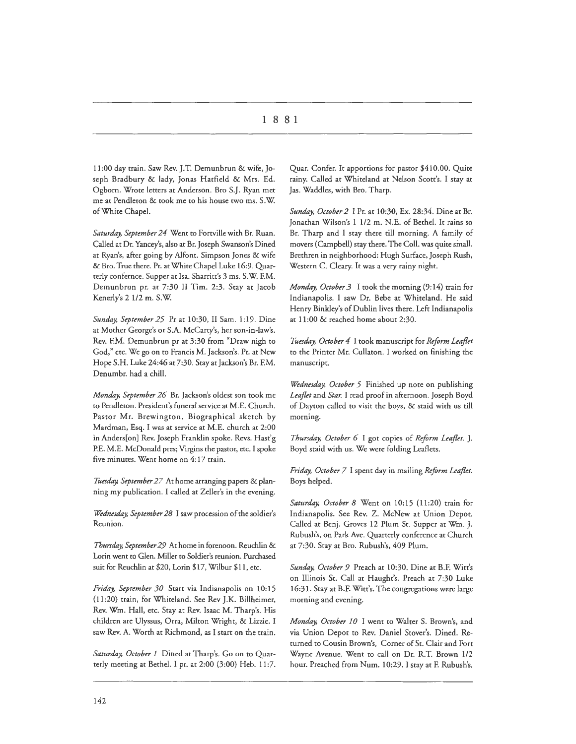11:00 day train. Saw Rev. J.T. Demunbrun & wife, Joseph Bradbury & lady, Jonas Hatfield & Mrs. Ed. Ogborn. Wrote letters at Anderson. Bro S.J. Ryan met me ac Pendleton & cook me co his house cwo ms. S.W. ofWhice Chapel.

Saturday, September 24 Went to Fortville with Br. Ruan. Called ac Dr. Yancey's, also at Br. Joseph Swanson's Dined at Ryan's, after going by Alfont. Simpson Jones & wife & Bro. True there. Pr. at White Chapel Luke 16:9. Quarterly confernce. Supper at Isa. Sharritt's 3 ms. S.W. F.M. Demunbrun pr. ar 7:30 II Tim. 2:3. Stay at Jacob Kenerly's 2 1/2 m. S.W.

*Sunday, September 25* Pr ac 10:30, II Sam. 1: 19. Dine at Mother George's or S.A. McCarty's, her son-in-law's. Rev. F.M. Demunbrun pr at 3:30 from "Draw nigh to God," etc. We go on to Francis M. Jackson's. Pr. at New Hope S.H. Luke 24:46 at 7:30. Stay at Jackson's Br. F.M. Denumbr. had a chill.

*Monday, September 26* Br. Jackson's oldest son cook me to Pendleton. President's funeral service at M.E. Church. Pastor Mr. Brewington. Biographical sketch by Mardman, Esq. I was at service at M.E. church at 2:00 in Anders[on] Rev. Joseph Franklin spoke. Revs. Hast'g P.E. M.E. McDonald pres; Virgins the pastor, etc. I spoke five minutes. Went home on 4:17 train.

*Tuesday, September 27* Ar home arranging papers & planning my publication. I called at Zeller's in che evening.

*Wednesday, September 28* I saw procession of the soldier's Reunion.

*Thursday, September 29* At home in forenoon. Reuchlin & Lorin went to Glen. Miller to Soldier's reunion. Purchased suit for Reuchlin at \$20, Lorin \$17, Wilbur \$11 , etc.

*Friday, September 30* Start via Indianapolis on 10:15 (11 :20) train, for Whiteland. See Rev J.K. Billheimer, Rev. Wm. Hall, etc. Stay at Rev. Isaac M. Tharp's. His children are Ulyssus, Orra, Milton Wright, & Lizzie. I saw Rev. A. Worth at Richmond, as I start on the train.

Saturday, October 1 Dined at Tharp's. Go on to Quarterly meeting at Bethel. I pr. at 2:00 (3:00) Heb. 11:7.

Quar. Confer. It apportions for pastor \$410.00. Quite rainy. Called at Whiteland at Nelson Scott's. I stay at Jas. Waddles, with Bro. Tharp.

*Sunday, October 2* I Pr. ac 10:30, Ex. 28:34. Dine at Br. Jonathan Wilson's 1 1/2 m. N.E. of Bethel. It rains so Br. Tharp and I stay there till morning. A family of movers (Campbell) stay there. The Coll. was quite small. Brethren in neighborhood: Hugh Surface, Joseph Rush, Western C. Cleary. It was a very rainy night.

*Monday, October 3* I took the morning (9:14) train for Indianapolis. I saw Dr. Bebe at Whiteland. He said Henry Binkley's of Dublin lives there. Left Indianapolis at 11:00 & reached home about 2:30.

*Tuesday, October 4* I cook manuscript for *Reform Leaflet*  to the Printer Mr. Cullaton. I worked on finishing the manuscript.

*Wednesday, October 5* Finished up note on publishing *Leaflet* and *Star.* I read proof in afternoon. Joseph Boyd of Dayton called co visit the boys, & staid with us till morning.

*Thursday, October 6* I got copies of *Reform Leaflet.* J. Boyd staid with us. We were folding Leaflets.

*Friday, October 7* I spent day in mailing *Reform Leaflet.*  Boys helped.

Saturday, October 8 Went on 10:15 (11:20) train for Indianapolis. See Rev. Z. McNew at Union Depot. Called at Benj. Groves 12 Plum St. Supper at Wm. J. Rubush's, on Park Ave. Quarterly conference at Church at 7:30. Stay at Bro. Rubush's, 409 Plum.

*Sunday, October 9* Preach at 10:30. Dine at B.F. Witt's on Illinois St. Call at Haught's. Preach at 7:30 Luke 16:31. Stay at B.F. Witt's. The congregations were large morning and evening.

*Monday, October 10* I went co Walter S. Brown's, and via Union Depot to Rev. Daniel Stover's. Dined. Returned co Cousin Brown's, Corner of St. Clair and Fort Wayne Avenue. Went to call on Dr. R.T. Brown 1/2 hour. Preached from Num. 10:29. I stay at F. Rubush's.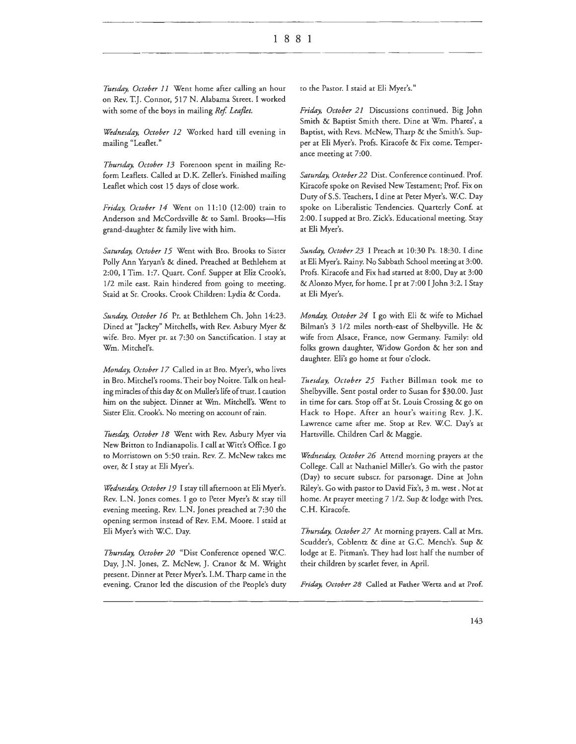*Tuesday, October 11* Went home after calling an hour on Rev. T.J. Connor, 517 N. Alabama Street. I worked with some of the boys in mailing *Ref. Leaflet.* 

*Wednesday, October 12* Worked hard rill evening in mailing "Leaflet."

*Thursday, October 13* Forenoon spent in mailing Reform Leaflets. Called at D.K. Zeller's. Finished mailing Leaflet which cost 15 days of close work.

*Friday, October 14* Went on 11:10 (12:00) train to Anderson and McCordsville & to Saml. Brooks-His grand-daughter & family live with him.

*Saturday, October 15* Went with Bro. Brooks to Sister Polly Ann Yaryan's & dined. Preached at Bethlehem at 2:00, I Tim. 1:7. Quart. Conf. Supper at Eliz Crook's, 1/2 mile east. Rain hindered from going to meeting. Staid at Sr. Crooks. Crook Children: Lydia & Corda.

*Sunday, October 16* Pr. at Bethlehem Ch. John 14:23. Dined at "Jackey" Mitchells, with Rev. Asbury Myer & wife. Bro. Myer pr. at 7:30 on Sanctification. I stay at Wm. Mitchel's.

*Monday, October 17* Called in at Bro. Myer's, who lives in Bro. Mitchel's rooms. Their boy Noitre. Talk on healing miracles of this day & on Muller's life of crust. I caution him on the subject. Dinner at Wm. Mitchell's. Went to Sister Eliz. Crook's. No meeting on account of rain.

Tuesday, October 18 Went with Rev. Asbury Myer via New Britton to Indianapolis. I call at Witt's Office. I go to Morristown on 5:50 train. Rev. Z. McNew takes me over, & I stay at Eli Myer's.

*Wednesday, October 19* I stay till afternoon at Eli Myer's. Rev. L.N. Jones comes. I go to Peter Myer's & stay till evening meeting. Rev. L.N. Jones preached at 7:30 the opening sermon instead of Rev. F.M. Moore. I staid at Eli Myer's with W.C. Day.

*Thursday, October 20* "Dist Conference opened W.C. Day, J.N. Jones, Z. McNew, J. Cranor & M. Wright present. Dinner at Peter Myer's. I.M. Tharp came in the evening. Cranor led the discusion of the People's duty

to the Pastor. I staid at Eli Myer's."

*Friday, October 21* Discussions continued. Big John Smith & Baptist Smith there. Dine at Wm. Phares', a Baptist, with Revs. McNew, Tharp & the Smith's. Supper at Eli Myer's. Profs. Kiracofe & Fix come. Temperance meeting at 7:00.

*Saturday, October 22* Dist. Conference continued. Prof. Kiracofe spoke on Revised New Testament; Prof. Fix on Duty of S.S. Teachers, I dine at Peter Myer's. W.C. Day spoke on Liberalistic Tendencies. Quarterly Conf. at 2:00. I supped at Bro. Zick's. Educational meeting. Stay at Eli Myer's.

*Sunday, October 23* I Preach at 10:30 Ps. 18:30. I dine at Eli Myer's. Rainy. No Sabbath School meeting at 3:00. Profs. Kiracofe and Fix had started at 8:00, Day at 3:00 & Alonzo Myer, for home. I pr at 7:00 I John 3:2. I Stay at Eli Myer's.

*Monday, October 24* I go with Eli & wife to Michael Bilman's 3 1/2 miles north-east of Shelbyville. He & wife from Alsace, France, now Germany. Family: old folks grown daughter, Widow Gordon & her son and daughter. Eli's go home at four o'clock.

*Tuesday, October 25* Father Billman took me to Shelbyville. Sent postal order to Susan for \$30.00. Just in time for cars. Stop off at St. Louis Crossing & go on Hack to Hope. After an hour's waiting Rev. J.K. Lawrence came after me. Stop at Rev. W.C. Day's at Hartsville. Children Carl & Maggie.

*Wednesday, October 26* Attend morning prayers at the College. Call at Nathaniel Miller's. Go with the pastor (Day) to secure subscr. for parsonage. Dine at John Riley's. Go with pastor to David Fix's, 3 m. west. Not at home. At prayer meeting 7 1/2. Sup & lodge with Pres. C.H. Kiracofe.

*Thursday, October 27* At morning prayers. Call at Mrs. Scudder's, Coblentz & dine at G.C. Mench's. Sup & lodge at E. Pitman's. They had lost half the number of their children by scarlet fever, in April.

*Friday, October 28* Called at Father Wertz and at Prof.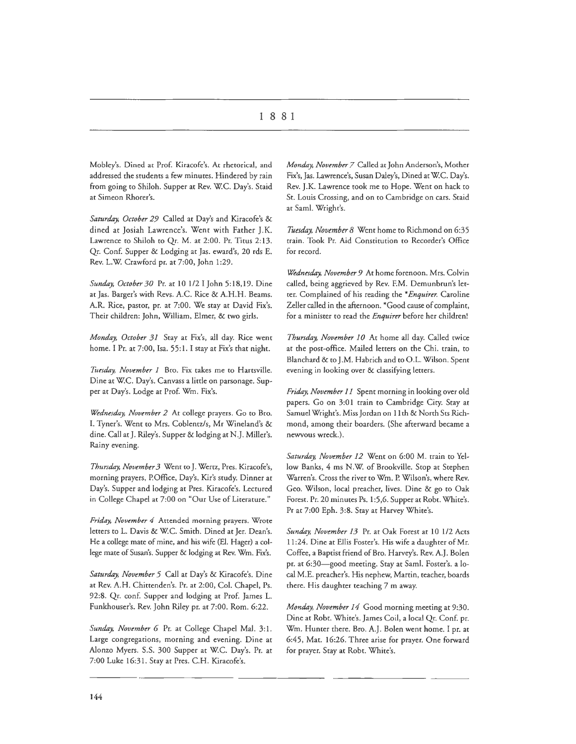# I 8 8 I

Mobley's. Dined at Prof. Kiracofe's. At rhetorical, and addressed che students a few minutes. Hindered by rain from going to Shiloh. Supper at Rev. W.C. Day's. Staid at Simeon Rhorer's.

*Saturday, October 29* Called ac Day's and Kiracofe's & dined ac Josiah Lawrence's. Went with Father J.K. Lawrence to Shiloh co Qr. M. at 2:00. Pr. Titus 2:13. Qr. Con£ Supper & Lodging at Jas. eward's, 20 rds E. Rev. L.W. Crawford pr. at 7:00, John 1:29.

*Sunday, October30* Pr. at 10 1/2 I John 5:18,19. Dine ac Jas. Barger's wich Revs. A.C. Rice & A.H.H. Beams. A.R. Rice, pastor, pr. at 7:00. We stay at David Fix's. Their children: John, William, Elmer, & two girls.

*Monday, October 31* Stay at Fix's, all day. Rice went home. I Pr. at 7:00, Isa. 55:1. I stay at Fix's that night.

Tuesday, November 1 Bro. Fix takes me to Hartsville. Dine at W.C. Day's. Canvass a little on parsonage. Supper at Day's. Lodge ac Prof. Wm. Fix's.

*Wednesday, November 2* Ac college prayers. Go to Bro. I. Tyner's. Went to Mrs. Coblencz/s, Mr Wineland's & dine. Call at J. Riley's. Supper & lodging ac N.]. Miller's. Rainy evening.

*Thursday, November 3* Went to J. Wertz, Pres. Kiracofe's, morning prayers, P.Office, Day's, Kir's study. Dinner at Day's. Supper and lodging at Pres. Kiracofe's. Lectured in College Chapel at 7:00 on "Our Use of Literature."

*Friday, November 4* Attended morning prayers. Wrote letters to L. Davis & W.C. Smith. Dined at Jer. Dean's. He a college mate of mine, and his wife (El. Hager) a college mate of Susan's. Supper & lodging at Rev. Wm. Fix's.

*Saturday, November 5* Call at Day's & Kiracofe's. Dine at Rev. A.H. Chittenden's. Pr. ac 2:00, Col. Chapel, Ps. 92:8. Qr. conf. Supper and lodging at Prof. James L. Funkhouser's. Rev. John Riley pr. at 7:00. Rom. 6:22.

Sunday, November 6 Pr. at College Chapel Mal. 3:1. Large congregations, morning and evening. Dine at Alonzo Myers. S.S. 300 Supper at W.C. Day's. Pr. at 7:00 Luke 16:31. Stay at Pres. C.H. Kiracofe's.

*Monday, November 7* Called ac John Anderson's, Mocher Fix's, *]as.* Lawrence's, Susan Daley's, Dined at W.C. Day's. Rev. J.K. Lawrence took me to Hope. Went on hack to St. Louis Crossing, and on to Cambridge on cars. Staid at Saml. Wright's.

*Tuesday, November 8* Went home to Richmond on 6:35 train. Took Pr. Aid Constitution to Recorder's Office for record.

*Wednesday, November 9* At home forenoon. Mrs. Colvin called, being aggrieved by Rev. F.M. Demunbrun's letter. Complained of his reading the *\*Enquirer.* Caroline Zeller called in the afternoon. \*Good cause of complaint, for a minister co read the *Enquirer* before her children!

*Thursday, November 10* At home all day. Called twice at the post-office. Mailed letters on the Chi. train, co Blanchard & to J.M. Habrich and to O.L. Wilson. Spent evening in looking over & classifying letters.

*Friday, November 11* Spent morning in looking over old papers. Go on 3:01 train to Cambridge City. Stay at Samuel Wright's. Miss Jordan on 11th & North Scs Richmond, among their boarders. (She afterward became a newvous wreck.).

*Saturday, November 12* Went on 6:00 M. train co Yellow Banks, 4 ms N.W. of Brookville. Stop at Stephen Warren's. Cross the river co Wm. P. Wilson's, where Rev. Geo. Wilson, local preacher, lives. Dine & go to Oak Forest. Pr. 20 minutes Ps. 1:5,6. Supper at Robt. White's. Pr at 7:00 Eph. 3:8. Stay at Harvey White's.

*Sunday, November 13* Pr. ac Oak Forest at 10 1/2 Acts 11:24. Dine at Ellis Foster's. His wife a daughter of Mr. Coffee, a Baptist friend of Bro. Harvey's. Rev. A.J. Bolen pr. at 6:30-good meeting. Stay at Saml. Foster's. a local M.E. preacher's. His nephew, Marrin, teacher, boards there. His daughter teaching 7 m away.

*Monday, November 14* Good morning meeting at 9:30. Dine at Robt. White's. James Coil, a local Qr. Conf. pr. Wm. Hunter there. Bro. A.J. Bolen went home. I pr. at 6:45, Mat. 16:26. Three arise for prayer. One forward for prayer. Stay at Robt. White's.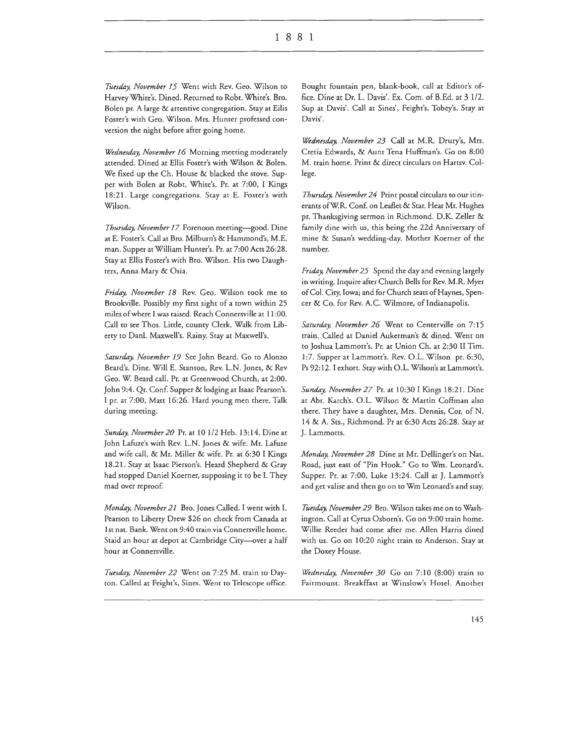Tuesday, November 15 Went with Rev. Geo. Wilson to Harvey White's. Dined. Returned to Robt. White's. Bro. Bolen pr. A large & attentive congregation. Stay at Eilis Foster's wich Geo. Wilson. Mrs. Hunter professed conversion che night before after going home.

*Wednesday, November* 16 Morning meeting moderately attended. Dined at Ellis Foster's with Wilson & Bolen. We fixed up the Ch. House & blacked the stove. Supper with Bolen at Robt. White's. Pr. at 7:00, I Kings 18:21. Large congregations. Stay at E. Foster's with Wilson.

Thursday, November 17 Forenoon meeting-good. Dine at E. Foster's. Call at Bro. Milburn's & Hammond's, M.E. man. Supper at William Hunter's. Pr. at 7:00 Acts 26:28. Stay at Ellis Foster's wich Bro. Wilson. His two Daughters, Anna Mary & Osia.

*Friday, November 18* Rev. Geo. Wilson cook me to Brookville. Possibly my first sight of a town within 25 miles of where I was raised. Reach Connersville at 11:00. Call co see Thos. Little, county Clerk. Walk from Liberty to Danl. Maxwell's. Rainy. Stay at Maxwell's.

*Saturday, November* 19 See John Beard. Go to Alonzo Beard's. Dine. Will E. Stanton, Rev. L.N. Jones, & Rev Geo. W. Beard call. Pr. at Greenwood Church, at 2:00. John 9:4. Qr. Conf. Supper & lodging at Isaac Pearson's. I pr. at 7:00, Matt 16:26. Hard young men there. Talk during meeting.

*Sunday, November 20* Pr. at 10 1/2 Heb. 13: 14. Dine ac John Lafuze's with Rev. L.N. Jones & wife. Mr. Lafuze and wife call, & Mr. Miller & wife. Pr. at 6:30 I Kings 18.21. Stay at Isaac Pierson's. Heard Shepherd & Gray had stopped Daniel Koerner, supposing it to be I. They mad over reproof.

*Monday, November* 21 Bro. Jones Called. I went with I. Pearson to Liberty Drew \$26 on check from Canada at 1st nat. Bank. Went on 9:40 train via Connersville home. Staid an hour at depot at Cambridge City-over a half hour at Connersville.

*Tuesday, November 22* Went on 7:25 M. train to Dayton. Called at Feight's, Sines. Went to Telescope office.

Bought fountain pen, blank-book, call at Editor's office. Dine at Dr. L. Davis'. Ex. Com. of B.Ed. at 3 1/2. Sup at Davis'. Call at Sines', Feight's, Tobey's. Stay at Davis'.

*Wednesday, November 23* Call at M.R. Drury's, Mrs. Cretia Edwards, & Aunt Tena Huffman's. Go on 8:00 M. train home. Print & direct circulars on Hartsv. College.

*Thursday, November 24* Print postal circulars co our itinerants of WR. Conf. on Leaflet & Scar. Hear Mr. Hughes pr. Thanksgiving sermon in Richmond. D.K. Zeller & family dine with us, this being the 22d Anniversary of mine & Susan's wedding-day. Mother Koerner of the number.

*Friday, November 25* Spend the day and evening largely in writing. Inquire after Church Bells for Rev. M.R. Myer of Col. City, Iowa; and for Church seats of Haynes, Spencer & Co. for Rev. A.C. Wilmore, of Indianapolis.

*Saturday, November 26* Went to Centerville on 7:15 train. Called at Daniel Aukerman's & dined. Went on to Joshua Lammott's. Pr. at Union Ch. at 2:30 II Tim. 1:7. Supper at Lammott's. Rev. O.L. Wilson pr. 6:30, Ps 92: 12. I exhort. Stay with 0.L. Wilson's at Lammott's.

*Sunday, November 27* Pr. at 10:30 I Kings 18:21. Dine at Ahr. Karch's. O.L. Wilson & Marcin Coffman also there. They have a daughter, Mrs. Dennis, Cor. of N. 14 & A. Sts., Richmond. Pr at 6:30 Acts 26:28. Stay at J. Lammotts.

*Monday, November 28* Dine at Mr. Dellinger's on Nat. Road, just east of "Pin Hook." Go to Wm. Leonard's. Supper. Pr. at 7:00, Luke 13:24. Call at J. Lammott's and get valise and then go on to Wm Leonard's and stay.

*Tuesday. November 29* Bro. Wilson cakes me on to Washington. Call at Cyrus Osborn's. Go on 9:00 train home. Willie Reeder had come after me. Allen Harris dined with us. Go on 10:20 night train to Anderson. Stay at the Doxey House.

*Wednesday, November 30* Go on 7:10 (8:00) train to Fairmount. Breakffast at Winslow's Hotel. Another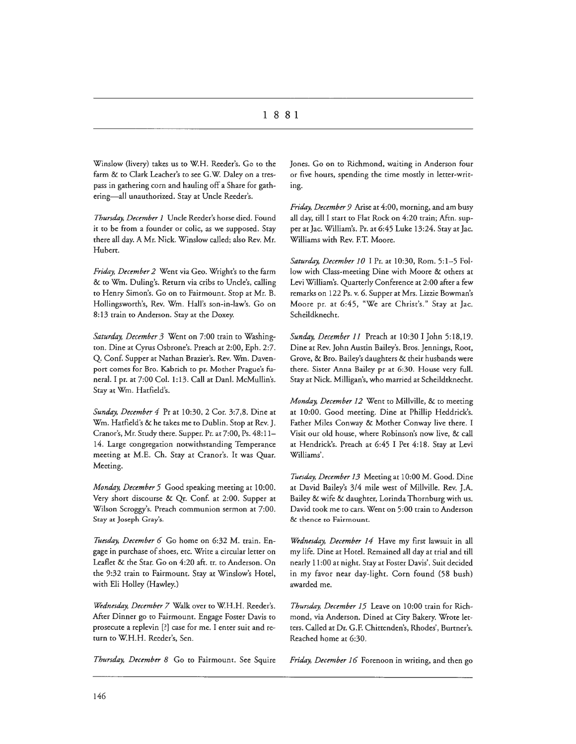Winslow (livery) takes us to W.H. Reeder's. Go to the farm & to Clark Leacher's to see G.W. Daley on a trespass in gathering corn and hauling off a Share for gathering-all unauthorized. Stay at Uncle Reeder's.

*Thursday, December I* Uncle Reeder's horse died. Found it to be from a founder or colic, as we supposed. Stay there all day. A Mr. Nick. Winslow called; also Rev. Mr. Hubert.

*Friday, December 2* Went via Geo. Wright's to the farm & to Wm. Duling's. Return via cribs to Uncle's, calling to Henry Simon's. Go on to Fairmount. Stop at Mr. B. Hollingsworth's, Rev. Wm. Hall's son-in-law's. Go on 8:13 train to Anderson. Stay at the Doxey.

*Saturday, December 3* Went on 7:00 train to Washington. Dine at Cyrus Osbrone's. Preach at 2:00, Eph. 2:7. Q. Conf. Supper at Nathan Brazier's. Rev. Wm. Davenport comes for Bro. Kabrich to pr. Mother Prague's funeral. I pr. at 7:00 Col. 1:13. Call at Dani. McMullin's. Stay at Wm. Hatfield's.

*Sunday, December 4* Pr at 10:30, 2 Cor. 3:7,8. Dine at Wm. Hatfield's & he takes me to Dublin. Stop at Rev. J. Cranor's, Mr. Study there. Supper. Pr. at 7:00, Ps. 48:11- 14. Large congregation notwithstanding Temperance meeting at M.E. Ch. Stay at Cranor's. It was Quar. Meeting.

*Monday, December 5* Good speaking meeting at 10:00. Very short discourse & Qr. Conf. at 2:00. Supper at Wilson Scroggy's. Preach communion sermon at 7:00. Stay at Joseph Gray's.

*Tuesday, December 6* Go home on 6:32 M. train. Engage in purchase of shoes, etc. Write a circular letter on Leaflet & the Star. Go on 4:20 aft. tr. to Anderson. On the 9:32 train to Fairmount. Stay at Winslow's Hotel, with Eli Holley (Hawley.)

*Wednesday, December 7* Walk over to W.H.H. Reeder's. After Dinner go to Fairmount. Engage Foster Davis to prosecute a replevin [?] case for me. I enter suit and return to W.H.H. Reeder's, Sen.

*Thursday, December 8* Go to Fairmount. See Squire

Jones. Go on to Richmond, waiting in Anderson four or five hours, spending the time mostly in letter-writing.

*Friday, December 9* Arise at 4:00, morning, and am busy all day, till I start to Flat Rock on 4:20 train; Aftn. supper at Jae. William's. Pr. at 6:45 Luke 13:24. Stay at Jae. Williams with Rev. F.T. Moore.

Saturday, December 10 I Pr. at 10:30, Rom. 5:1-5 Follow with Class-meeting Dine with Moore & others at Levi William's. Quarterly Conference at 2:00 after a few remarks on 122 Ps. v. 6. Supper at Mrs. Lizzie Bowman's Moore pr. at 6:45, "We are Christ's." Stay at Jae. Scheildknecht.

*Sunday, December 11* Preach at 10:30 I John 5:18,19. Dine at Rev. John Austin Bailey's. Bros. Jennings, Root, Grove, & Bro. Bailey's daughters & their husbands were there. Sister Anna Bailey pr at 6:30. House very full. Stay at Nick. Milligan's, who married at Scheildtknecht.

*Monday, December 12* Went to Millville, & to meeting at 10:00. Good meeting. Dine at Phillip Heddrick's. Father Miles Conway & Mother Conway live there. I Visit our old house, where Robinson's now live, & call at Hendrick's. Preach at 6:45 I Pet 4:18. Stay at Levi Williams'.

*Tuesday, December 13* Meeting at 10:00 M. Good. Dine at David Bailey's 3/4 mile west of Millville. Rev. J.A. Bailey & wife & daughter, Lorinda Thornburg with us. David took me to cars. Went on 5:00 train to Anderson & thence to Fairmount.

*Wednesday, December 14* Have my first lawsuit in all my life. Dine at Hotel. Remained all day at trial and till nearly 11 :00 at night. Stay at Foster Davis'. Suit decided in my favor near day-light. Corn found (58 bush) awarded me.

*Thursday, December 15* Leave on 10:00 train for Richmond, via Anderson. Dined at City Bakery. Wrote letters. Called at Dr. G.F. Chittenden's, Rhodes', Burtner's. Reached home at 6:30.

*Friday, December 16* Forenoon in writing, and then go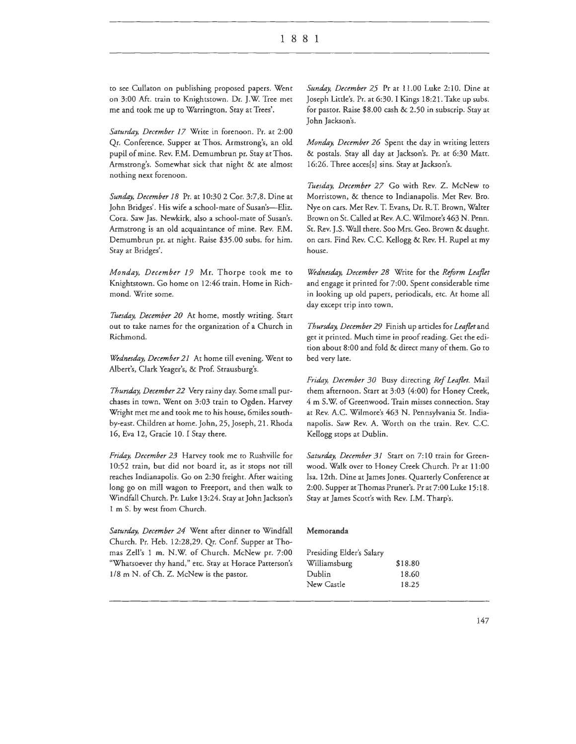to see Cullaton on publishing proposed papers. Went on 3:00 Aft. train to Knightstown. Dr. J.W. Tree met me and took me up to Warrington. Stay at Trees'.

*Saturday, December 17* Write in forenoon. Pr. at 2:00 Qr. Conference. Supper ar Thos. Armstrong's, an old pupil of mine. Rev. F.M. Demumbrun pr. Stay at Thos. Armstrong's. Somewhat sick that night & ate almost nothing next forenoon.

*Sunday, December 18* Pr. ar 10:30 2 Cor. 3:7,8. Dine at John Bridges'. His wife a school-mate of Susan's-Eliz. Cora. Saw Jas. Newkirk, also a school-mate of Susan's. Armstrong is an old acquaintance of mine. Rev. F.M. Demumbrun pr. at night. Raise \$35.00 subs. for him. Stay at Bridges'.

*Monday, December 19* Mr. Thorpe rook me to Knightstown. Go home on 12:46 train. Home in Richmond. Write some.

Tuesday, December 20 At home, mostly writing. Start out to take names for the organization of a Church in Richmond.

*Wednesday, December 21* At home till evening. Went to Albert's, Clark Yeager's, & Prof. Strausburg's.

*Thursday, December 22* Very rainy day. Some small purchases in town. Went on 3:03 train co Ogden. Harvey Wright mer me and took me to his house, 6miles sourhby-easr. Children at home. John, 25, Joseph, 21. Rhoda 16, Eva 12, Gracie 10. I Stay there.

*Friday, December 23* Harvey took me to Rushville for 10:52 train, but did not board it, as it stops not till reaches Indianapolis. Go on 2:30 freight. After waiting long go on mill wagon to Freeport, and then walk to Windfall Church. Pr. Luke 13:24. Stay at John Jackson's 1 m S. by west from Church.

*Saturday, December 24* Went after dinner to Windfall Church. Pr. Heb. 12:28,29. Qr. Conf. Supper at Thomas Zell's 1 m. N .W. of Church. McNew pr. 7:00 "Whatsoever thy hand," etc. Stay at Horace Patterson's 1/8 m N. of Ch. Z. McNew is the pastor.

*Sunday, December 25* Pr at 11.00 Luke 2:10. Dine at Joseph Little's. Pr. ar 6:30. I Kings 18:21. Take up subs. for pastor. Raise  $$8.00$  cash & 2.50 in subscrip. Stay at John Jackson's.

*M onday, December 26* Spent the day in writing letters & postals. Seay all day ar Jackson's. Pr. at 6:30 Matt. 16:26. Three acces[s] sins. Stay at Jackson's.

*Tuesday, December 27* Go with Rev. Z. McNew co Morristown, & thence to Indianapolis. Met Rev. Bro. Nye on cars. Met Rev. T. Evans, Dr. R.T. Brown, Walter Brown on Sr. Called at Rev. A.C. Wilmore's 463 N. Penn. St. Rev. J.S. Wall there. Soo Mrs. Geo. Brown & daught. on cars. Find Rev. C.C. Kellogg & Rev. H. Rupel at my house.

*Wednesday, December 28* Write for the *Reform Leaflet*  and engage it printed for 7:00. Spent considerable rime in looking up old papers, periodicals, ere. At home all day except trip into town.

*Thursday, December 29* Finish up articles for *Leafletand*  get it printed. Much time in proof reading. Get the edition about 8:00 and fold & direct many of them. Go co bed very late.

*Friday, December 30* Busy directing *Ref Leaflet.* Mail chem afternoon. Scarr ar 3:03 (4:00) for Honey Creek, 4 m S.W. of Greenwood. Train misses connection. Stay at Rev. A.C. Wilmore's 463 N. Pennsylvania Sr. Indianapolis. Saw Rev. A. Worth on the train. Rev. C.C. Kellogg stops at Dublin.

Saturday, December 31 Start on 7:10 train for Greenwood. Walk over co Honey Creek Church. Pr at 11 :00 Isa. 12th. Dine at James Jones. Quarterly Conference ar 2:00. Supper at Thomas Pruner's. Pr at 7:00 Luke 15:18. Stay at James Scott's with Rev. I.M. Tharp's.

#### Memoranda

| \$18.80 |
|---------|
| 18.60   |
| 18.25   |
|         |